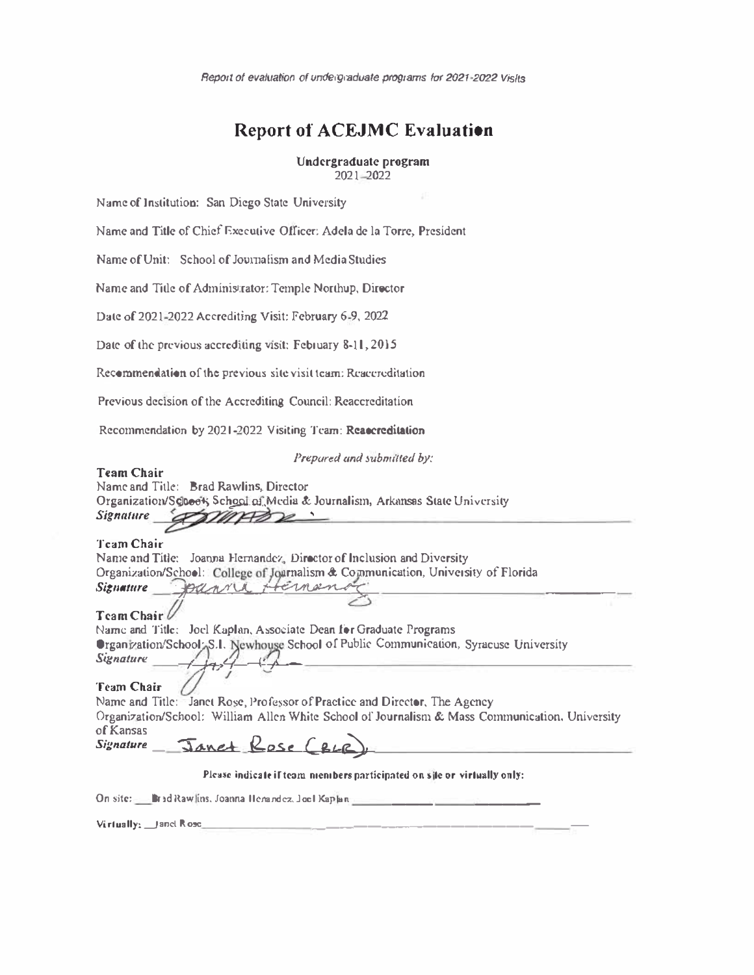*Report of evaluation of undergraduate programs for 2021-2022 Visits* 

# **Report of ACEJMC Evaluation**

# Undergraduate program 2021 2022

Name of Institution: San Diego State University

Name and Title of Chief Executive Officer: Adela de la Torre, President

Name of Unit: School of Journalism and Media Studies

Name and Title of Administrator: Temple Northup, Director

Date of 2021-2022 Accrediting Visit: February 6-9, 2022

Date of the previous accrediting visit: February 8-11, 2015

**Recommendation of the previous site visit team: Rcaccrcditation** 

Previous decision of the Accrediting Council: Reaccreditation

Recommendation by 2021-2022 Visiting Team: Reaccreditation

*Prepared and submilled by:* 

# Team Chair

Name and Tille: Brad Rawlins, Director Organization/Schoot; School.oi.Media & Journalism, Arkansas State University *Signal/Ire* ,

# Team Chair

Nanie and Title: Joanna Hernandez, Director of Inclusion and Diversity Organization/School: College of Journalism & Communication, University of Florida Signature **Bansa** panni Hemenoz

# Team Chair

Name and Title: Joel Kaplan, Associate Dean for Graduate Programs Organization/School<sub>7</sub>S.I. Newhouse School of Public Communication, Syracuse University *Signature* - --;½�,4'--(,-J'-- ----------------------

Tcam Chair

Name and Title: Janet Rose, Professor of Practice and Director, The Agency Organization/School: William Allen White School of Journalism & Mass Communication, University of Kansas Signature Janet Rose (BLC

# Please indicate if team members participated on site or virtually only:

**On site:** Brad Rawlins, Joanna Henandez, Joel Kaplan

**Virtually: \_Janet Rose \_\_\_\_\_\_\_\_\_\_\_\_\_\_\_\_\_\_\_\_\_\_\_\_\_ \_\_ \_**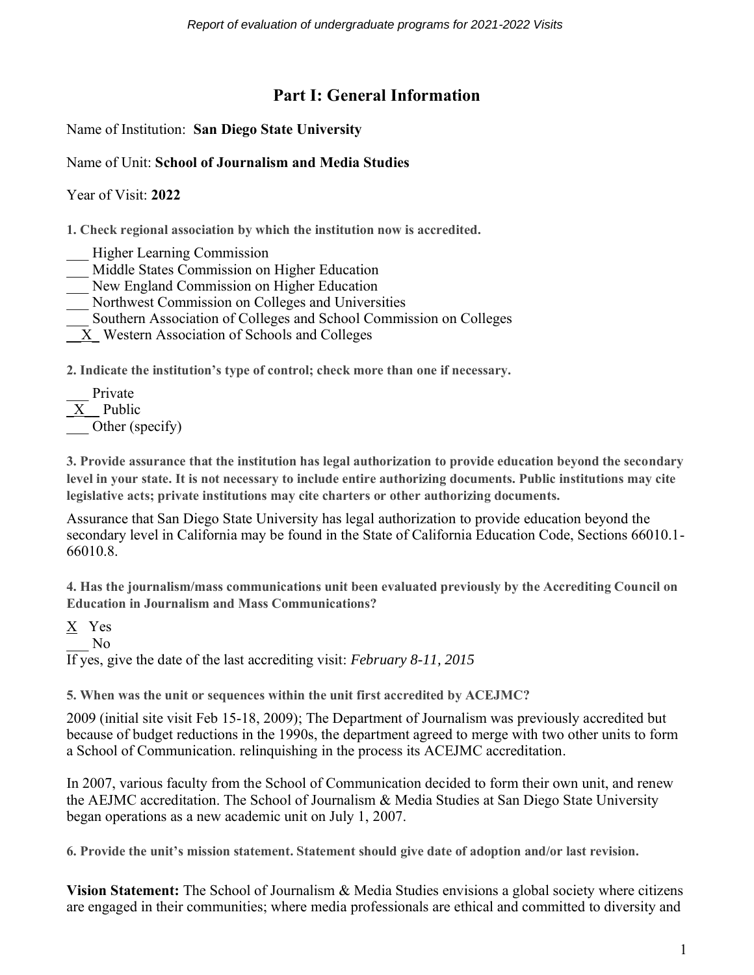# **Part I: General Information**

Name of Institution: **San Diego State University**

# Name of Unit: **School of Journalism and Media Studies**

Year of Visit: **2022**

**1. Check regional association by which the institution now is accredited.**

- \_\_\_ Higher Learning Commission
- Middle States Commission on Higher Education
- New England Commission on Higher Education
- \_\_\_ Northwest Commission on Colleges and Universities
- \_\_\_ Southern Association of Colleges and School Commission on Colleges
- \_\_X\_ Western Association of Schools and Colleges

**2. Indicate the institution's type of control; check more than one if necessary.**

Private  $\overline{X}$  Public Other (specify)

**3. Provide assurance that the institution has legal authorization to provide education beyond the secondary level in your state. It is not necessary to include entire authorizing documents. Public institutions may cite legislative acts; private institutions may cite charters or other authorizing documents.**

Assurance that San Diego State University has legal authorization to provide education beyond the secondary level in California may be found in the State of California Education Code, Sections 66010.1- 66010.8.

**4. Has the journalism/mass communications unit been evaluated previously by the Accrediting Council on Education in Journalism and Mass Communications?**

X Yes

 $\overline{N}$ <sup> $\overline{O}$ </sup>

If yes, give the date of the last accrediting visit: *February 8-11, 2015* 

**5. When was the unit or sequences within the unit first accredited by ACEJMC?**

2009 (initial site visit Feb 15-18, 2009); The Department of Journalism was previously accredited but because of budget reductions in the 1990s, the department agreed to merge with two other units to form a School of Communication. relinquishing in the process its ACEJMC accreditation.

In 2007, various faculty from the School of Communication decided to form their own unit, and renew the AEJMC accreditation. The School of Journalism & Media Studies at San Diego State University began operations as a new academic unit on July 1, 2007.

**6. Provide the unit's mission statement. Statement should give date of adoption and/or last revision.** 

**Vision Statement:** The School of Journalism & Media Studies envisions a global society where citizens are engaged in their communities; where media professionals are ethical and committed to diversity and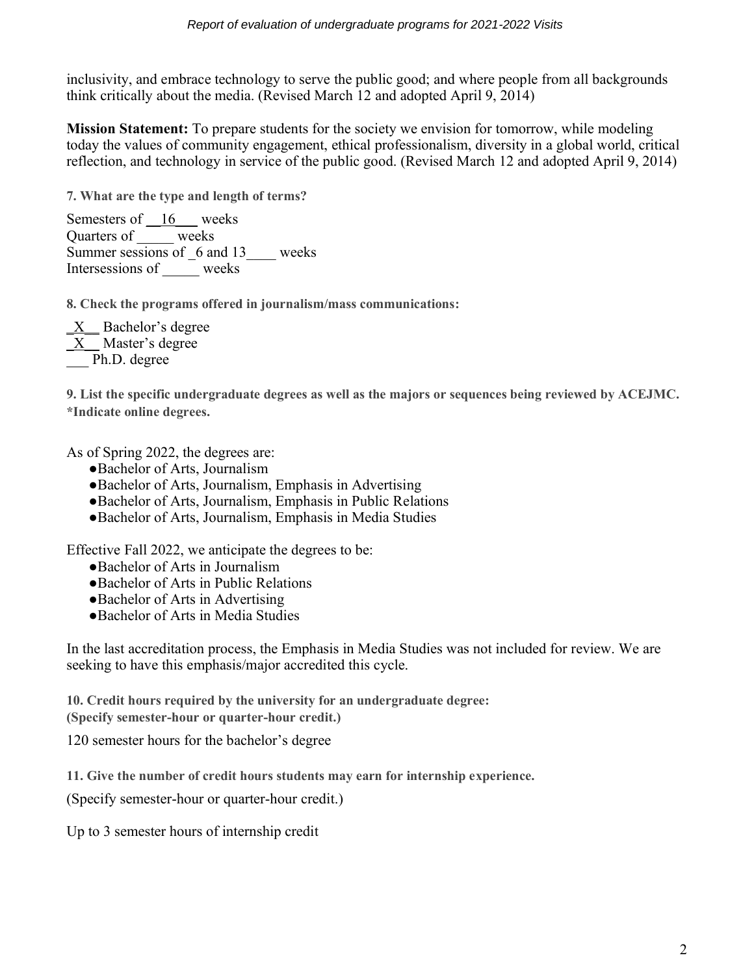inclusivity, and embrace technology to serve the public good; and where people from all backgrounds think critically about the media. (Revised March 12 and adopted April 9, 2014)

**Mission Statement:** To prepare students for the society we envision for tomorrow, while modeling today the values of community engagement, ethical professionalism, diversity in a global world, critical reflection, and technology in service of the public good. (Revised March 12 and adopted April 9, 2014)

**7. What are the type and length of terms?**

Semesters of <u>16</u> weeks Quarters of \_\_\_\_\_ weeks Summer sessions of  $6$  and 13 weeks Intersessions of weeks

**8. Check the programs offered in journalism/mass communications:**

\_X\_\_ Bachelor's degree  $X$  Master's degree Ph.D. degree

**9. List the specific undergraduate degrees as well as the majors or sequences being reviewed by ACEJMC. \*Indicate online degrees.**

As of Spring 2022, the degrees are:

- ●Bachelor of Arts, Journalism
- ●Bachelor of Arts, Journalism, Emphasis in Advertising
- ●Bachelor of Arts, Journalism, Emphasis in Public Relations
- ●Bachelor of Arts, Journalism, Emphasis in Media Studies

Effective Fall 2022, we anticipate the degrees to be:

- ●Bachelor of Arts in Journalism
- ●Bachelor of Arts in Public Relations
- ●Bachelor of Arts in Advertising
- ●Bachelor of Arts in Media Studies

In the last accreditation process, the Emphasis in Media Studies was not included for review. We are seeking to have this emphasis/major accredited this cycle.

**10. Credit hours required by the university for an undergraduate degree:** 

**(Specify semester-hour or quarter-hour credit.)**

120 semester hours for the bachelor's degree

**11. Give the number of credit hours students may earn for internship experience.** 

(Specify semester-hour or quarter-hour credit.)

Up to 3 semester hours of internship credit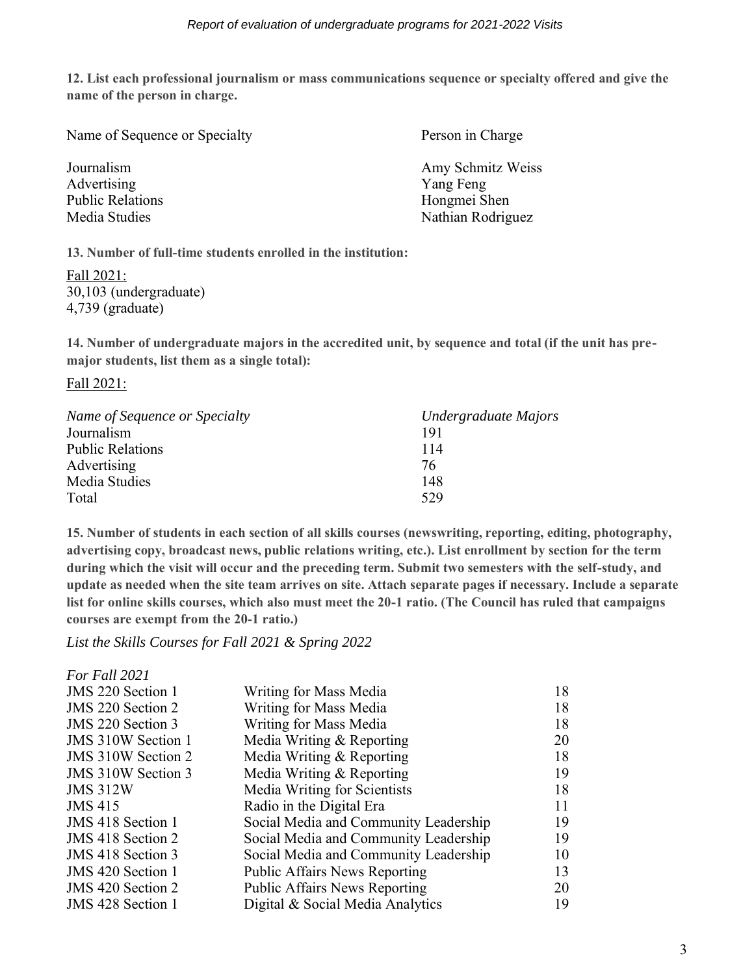**12. List each professional journalism or mass communications sequence or specialty offered and give the name of the person in charge.**

| Name of Sequence or Specialty | Person in Charge  |  |  |  |
|-------------------------------|-------------------|--|--|--|
| Journalism                    | Amy Schmitz Weiss |  |  |  |
| Advertising                   | Yang Feng         |  |  |  |
| <b>Public Relations</b>       | Hongmei Shen      |  |  |  |
| Media Studies                 | Nathian Rodriguez |  |  |  |
|                               |                   |  |  |  |

**13. Number of full-time students enrolled in the institution:** 

Fall 2021: 30,103 (undergraduate) 4,739 (graduate)

**14. Number of undergraduate majors in the accredited unit, by sequence and total (if the unit has premajor students, list them as a single total):**

Fall 2021:

| Name of Sequence or Specialty | Undergraduate Majors |
|-------------------------------|----------------------|
| Journalism                    | 191                  |
| <b>Public Relations</b>       | 114                  |
| Advertising                   | 76                   |
| Media Studies                 | 148                  |
| Total                         | 529                  |

**15. Number of students in each section of all skills courses (newswriting, reporting, editing, photography, advertising copy, broadcast news, public relations writing, etc.). List enrollment by section for the term during which the visit will occur and the preceding term. Submit two semesters with the self-study, and update as needed when the site team arrives on site. Attach separate pages if necessary. Include a separate list for online skills courses, which also must meet the 20-1 ratio. (The Council has ruled that campaigns courses are exempt from the 20-1 ratio.)**

*List the Skills Courses for Fall 2021 & Spring 2022*

| Writing for Mass Media                | 18 |
|---------------------------------------|----|
| Writing for Mass Media                | 18 |
| Writing for Mass Media                | 18 |
| Media Writing & Reporting             | 20 |
| Media Writing & Reporting             | 18 |
| Media Writing & Reporting             | 19 |
| Media Writing for Scientists          | 18 |
| Radio in the Digital Era              | 11 |
| Social Media and Community Leadership | 19 |
| Social Media and Community Leadership | 19 |
| Social Media and Community Leadership | 10 |
| <b>Public Affairs News Reporting</b>  | 13 |
| <b>Public Affairs News Reporting</b>  | 20 |
| Digital & Social Media Analytics      | 19 |
|                                       |    |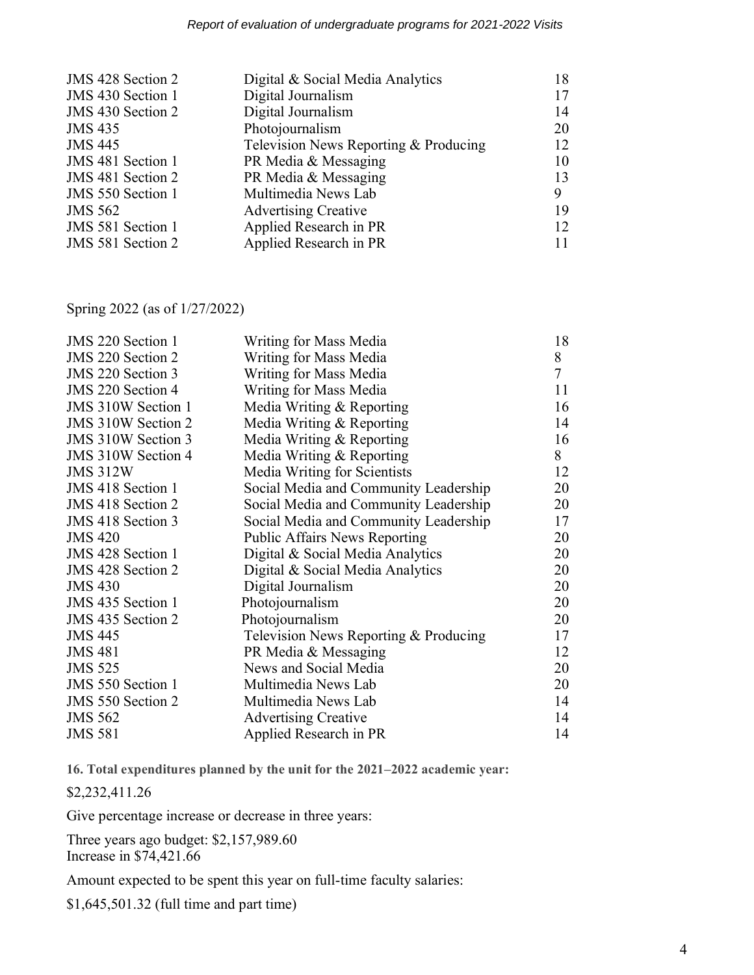| JMS 428 Section 2 | Digital & Social Media Analytics      | 18 |
|-------------------|---------------------------------------|----|
| JMS 430 Section 1 | Digital Journalism                    | 17 |
| JMS 430 Section 2 | Digital Journalism                    | 14 |
| <b>JMS 435</b>    | Photojournalism                       | 20 |
| <b>JMS 445</b>    | Television News Reporting & Producing | 12 |
| JMS 481 Section 1 | PR Media & Messaging                  | 10 |
| JMS 481 Section 2 | PR Media & Messaging                  | 13 |
| JMS 550 Section 1 | Multimedia News Lab                   | 9  |
| <b>JMS 562</b>    | <b>Advertising Creative</b>           | 19 |
| JMS 581 Section 1 | Applied Research in PR                | 12 |
| JMS 581 Section 2 | Applied Research in PR                |    |

Spring 2022 (as of 1/27/2022)

| JMS 220 Section 1         | Writing for Mass Media                | 18             |
|---------------------------|---------------------------------------|----------------|
| <b>JMS</b> 220 Section 2  | Writing for Mass Media                | 8              |
| JMS 220 Section 3         | Writing for Mass Media                | $\overline{7}$ |
| JMS 220 Section 4         | Writing for Mass Media                | 11             |
| <b>JMS 310W Section 1</b> | Media Writing & Reporting             | 16             |
| JMS 310W Section 2        | Media Writing & Reporting             | 14             |
| <b>JMS 310W Section 3</b> | Media Writing & Reporting             | 16             |
| <b>JMS 310W Section 4</b> | Media Writing $&$ Reporting           | 8              |
| <b>JMS 312W</b>           | Media Writing for Scientists          | 12             |
| JMS 418 Section 1         | Social Media and Community Leadership | 20             |
| JMS 418 Section 2         | Social Media and Community Leadership | 20             |
| JMS 418 Section 3         | Social Media and Community Leadership | 17             |
| <b>JMS 420</b>            | <b>Public Affairs News Reporting</b>  | 20             |
| <b>JMS</b> 428 Section 1  | Digital & Social Media Analytics      | 20             |
| JMS 428 Section 2         | Digital & Social Media Analytics      | 20             |
| <b>JMS 430</b>            | Digital Journalism                    | 20             |
| JMS 435 Section 1         | Photojournalism                       | 20             |
| JMS 435 Section 2         | Photojournalism                       | 20             |
| <b>JMS 445</b>            | Television News Reporting & Producing | 17             |
| <b>JMS 481</b>            | PR Media & Messaging                  | 12             |
| <b>JMS 525</b>            | News and Social Media                 | 20             |
| <b>JMS</b> 550 Section 1  | Multimedia News Lab                   | 20             |
| JMS 550 Section 2         | Multimedia News Lab                   | 14             |
| <b>JMS 562</b>            | <b>Advertising Creative</b>           | 14             |
| <b>JMS 581</b>            | Applied Research in PR                | 14             |

**16. Total expenditures planned by the unit for the 2021–2022 academic year:** 

\$2,232,411.26

Give percentage increase or decrease in three years:

Three years ago budget: \$2,157,989.60 Increase in \$74,421.66

Amount expected to be spent this year on full-time faculty salaries:

\$1,645,501.32 (full time and part time)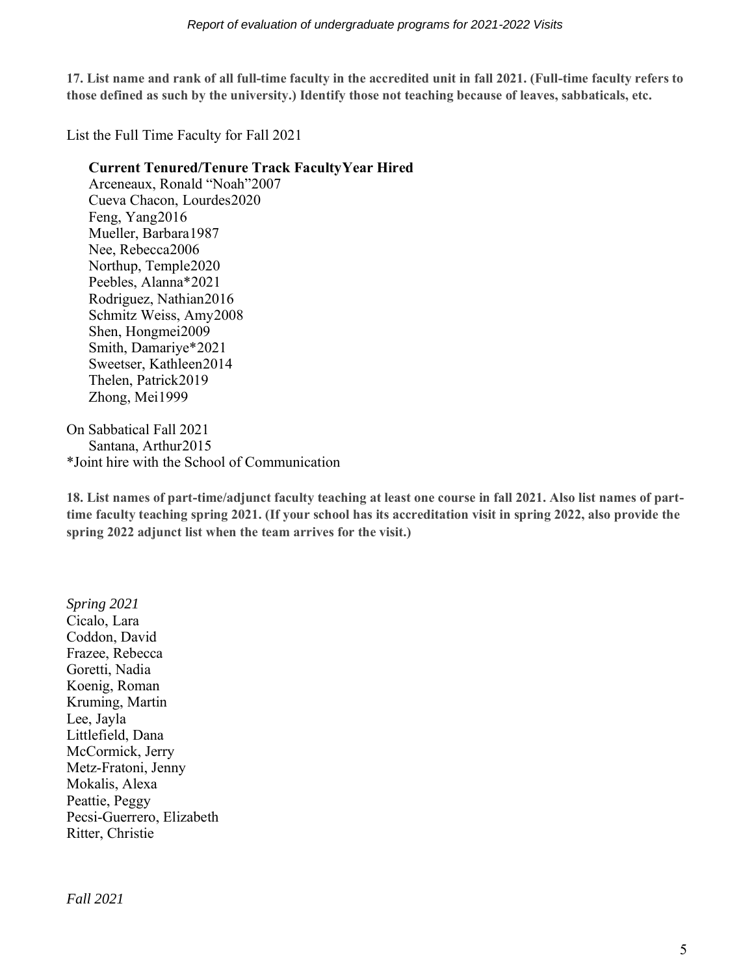**17. List name and rank of all full-time faculty in the accredited unit in fall 2021. (Full-time faculty refers to those defined as such by the university.) Identify those not teaching because of leaves, sabbaticals, etc.**

List the Full Time Faculty for Fall 2021

## **Current Tenured/Tenure Track FacultyYear Hired**

Arceneaux, Ronald "Noah"2007 Cueva Chacon, Lourdes2020 Feng, Yang2016 Mueller, Barbara1987 Nee, Rebecca2006 Northup, Temple2020 Peebles, Alanna\*2021 Rodriguez, Nathian2016 Schmitz Weiss, Amy2008 Shen, Hongmei2009 Smith, Damariye\*2021 Sweetser, Kathleen2014 Thelen, Patrick2019 Zhong, Mei1999

On Sabbatical Fall 2021 Santana, Arthur2015 \*Joint hire with the School of Communication

**18. List names of part-time/adjunct faculty teaching at least one course in fall 2021. Also list names of parttime faculty teaching spring 2021. (If your school has its accreditation visit in spring 2022, also provide the spring 2022 adjunct list when the team arrives for the visit.)**

*Spring 2021* Cicalo, Lara Coddon, David Frazee, Rebecca Goretti, Nadia Koenig, Roman Kruming, Martin Lee, Jayla Littlefield, Dana McCormick, Jerry Metz-Fratoni, Jenny Mokalis, Alexa Peattie, Peggy Pecsi-Guerrero, Elizabeth Ritter, Christie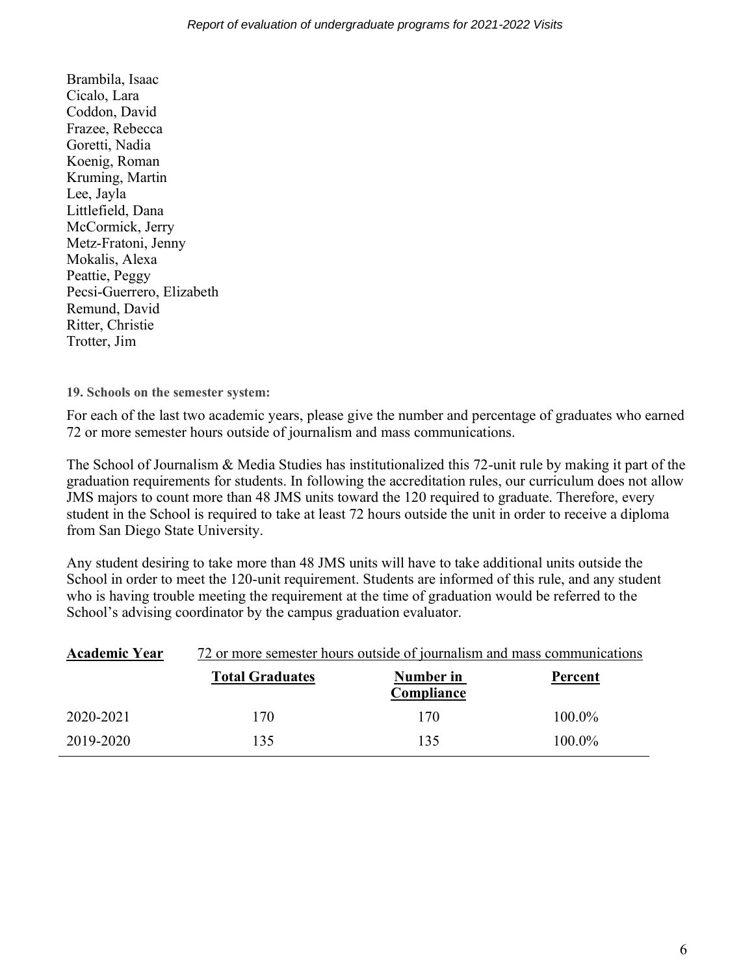Brambila, Isaac Cicalo, Lara Coddon, David Frazee, Rebecca Goretti, Nadia Koenig, Roman Kruming, Martin Lee, Jayla Littlefield, Dana McCormick, Jerry Metz-Fratoni, Jenny Mokalis, Alexa Peattie, Peggy Pecsi-Guerrero, Elizabeth Remund, David Ritter, Christie Trotter, Jim

**19. Schools on the semester system:**

For each of the last two academic years, please give the number and percentage of graduates who earned 72 or more semester hours outside of journalism and mass communications.

The School of Journalism & Media Studies has institutionalized this 72-unit rule by making it part of the graduation requirements for students. In following the accreditation rules, our curriculum does not allow JMS majors to count more than 48 JMS units toward the 120 required to graduate. Therefore, every student in the School is required to take at least 72 hours outside the unit in order to receive a diploma from San Diego State University.

Any student desiring to take more than 48 JMS units will have to take additional units outside the School in order to meet the 120-unit requirement. Students are informed of this rule, and any student who is having trouble meeting the requirement at the time of graduation would be referred to the School's advising coordinator by the campus graduation evaluator.

| <b>Academic Year</b> | 72 or more semester hours outside of journalism and mass communications |                         |           |  |  |
|----------------------|-------------------------------------------------------------------------|-------------------------|-----------|--|--|
|                      | <b>Total Graduates</b>                                                  | Number in<br>Compliance | Percent   |  |  |
| 2020-2021            | 170                                                                     | 170                     | 100.0%    |  |  |
| 2019-2020            | 135                                                                     | 135                     | $100.0\%$ |  |  |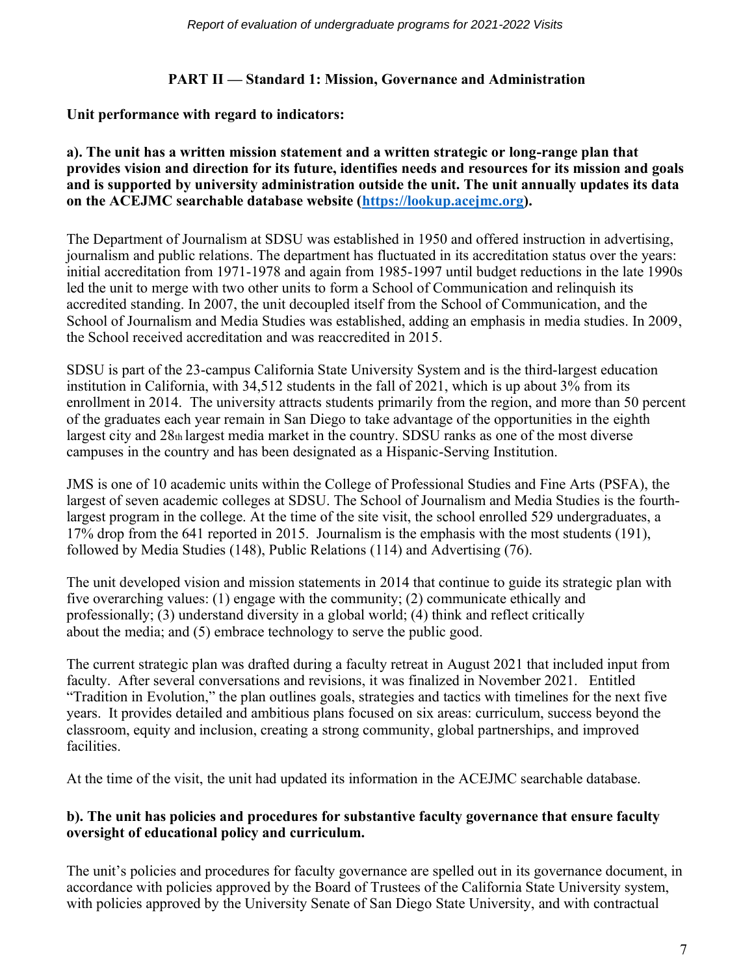# **PART II — Standard 1: Mission, Governance and Administration**

# **Unit performance with regard to indicators:**

#### **a). The unit has a written mission statement and a written strategic or long-range plan that provides vision and direction for its future, identifies needs and resources for its mission and goals and is supported by university administration outside the unit. The unit annually updates its data on the ACEJMC searchable database website [\(https://lookup.acejmc.org\)](https://lookup.acejmc.org/).**

The Department of Journalism at SDSU was established in 1950 and offered instruction in advertising, journalism and public relations. The department has fluctuated in its accreditation status over the years: initial accreditation from 1971-1978 and again from 1985-1997 until budget reductions in the late 1990s led the unit to merge with two other units to form a School of Communication and relinquish its accredited standing. In 2007, the unit decoupled itself from the School of Communication, and the School of Journalism and Media Studies was established, adding an emphasis in media studies. In 2009, the School received accreditation and was reaccredited in 2015.

SDSU is part of the 23-campus California State University System and is the third-largest education institution in California, with 34,512 students in the fall of 2021, which is up about 3% from its enrollment in 2014. The university attracts students primarily from the region, and more than 50 percent of the graduates each year remain in San Diego to take advantage of the opportunities in the eighth largest city and 28th largest media market in the country. SDSU ranks as one of the most diverse campuses in the country and has been designated as a Hispanic-Serving Institution.

JMS is one of 10 academic units within the College of Professional Studies and Fine Arts (PSFA), the largest of seven academic colleges at SDSU. The School of Journalism and Media Studies is the fourthlargest program in the college. At the time of the site visit, the school enrolled 529 undergraduates, a 17% drop from the 641 reported in 2015. Journalism is the emphasis with the most students (191), followed by Media Studies (148), Public Relations (114) and Advertising (76).

The unit developed vision and mission statements in 2014 that continue to guide its strategic plan with five overarching values: (1) engage with the community; (2) communicate ethically and professionally; (3) understand diversity in a global world; (4) think and reflect critically about the media; and (5) embrace technology to serve the public good.

The current strategic plan was drafted during a faculty retreat in August 2021 that included input from faculty. After several conversations and revisions, it was finalized in November 2021. Entitled "Tradition in Evolution," the plan outlines goals, strategies and tactics with timelines for the next five years. It provides detailed and ambitious plans focused on six areas: curriculum, success beyond the classroom, equity and inclusion, creating a strong community, global partnerships, and improved facilities.

At the time of the visit, the unit had updated its information in the ACEJMC searchable database.

# **b). The unit has policies and procedures for substantive faculty governance that ensure faculty oversight of educational policy and curriculum.**

The unit's policies and procedures for faculty governance are spelled out in its governance document, in accordance with policies approved by the Board of Trustees of the California State University system, with policies approved by the University Senate of San Diego State University, and with contractual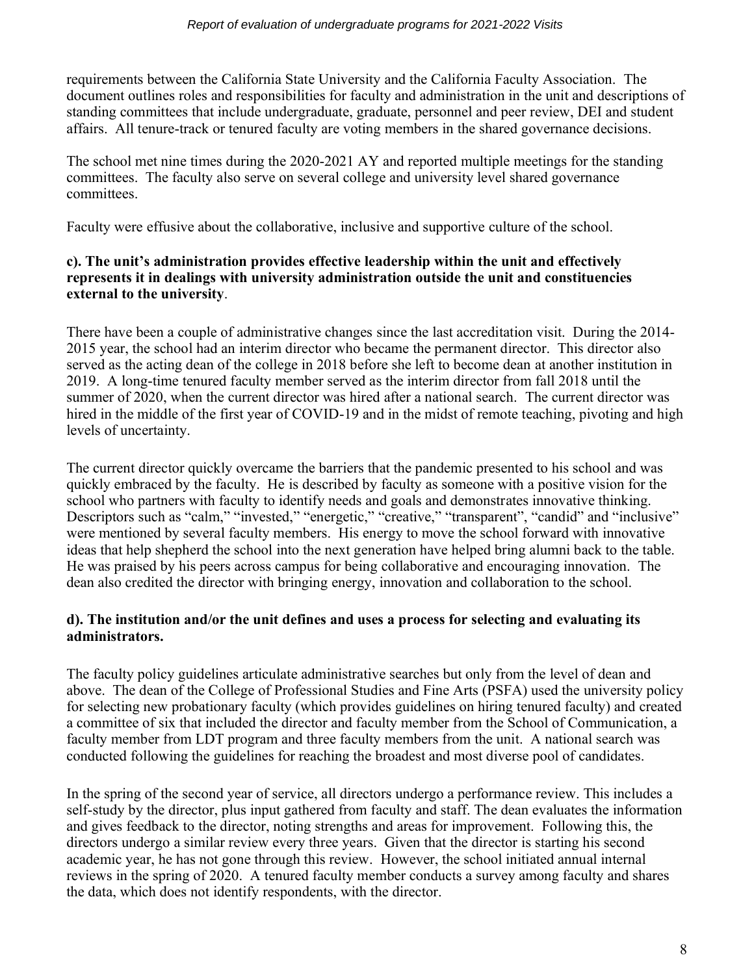requirements between the California State University and the California Faculty Association. The document outlines roles and responsibilities for faculty and administration in the unit and descriptions of standing committees that include undergraduate, graduate, personnel and peer review, DEI and student affairs. All tenure-track or tenured faculty are voting members in the shared governance decisions.

The school met nine times during the 2020-2021 AY and reported multiple meetings for the standing committees. The faculty also serve on several college and university level shared governance committees.

Faculty were effusive about the collaborative, inclusive and supportive culture of the school.

# **c). The unit's administration provides effective leadership within the unit and effectively represents it in dealings with university administration outside the unit and constituencies external to the university**.

There have been a couple of administrative changes since the last accreditation visit. During the 2014- 2015 year, the school had an interim director who became the permanent director. This director also served as the acting dean of the college in 2018 before she left to become dean at another institution in 2019. A long-time tenured faculty member served as the interim director from fall 2018 until the summer of 2020, when the current director was hired after a national search. The current director was hired in the middle of the first year of COVID-19 and in the midst of remote teaching, pivoting and high levels of uncertainty.

The current director quickly overcame the barriers that the pandemic presented to his school and was quickly embraced by the faculty. He is described by faculty as someone with a positive vision for the school who partners with faculty to identify needs and goals and demonstrates innovative thinking. Descriptors such as "calm," "invested," "energetic," "creative," "transparent", "candid" and "inclusive" were mentioned by several faculty members. His energy to move the school forward with innovative ideas that help shepherd the school into the next generation have helped bring alumni back to the table. He was praised by his peers across campus for being collaborative and encouraging innovation. The dean also credited the director with bringing energy, innovation and collaboration to the school.

# **d). The institution and/or the unit defines and uses a process for selecting and evaluating its administrators.**

The faculty policy guidelines articulate administrative searches but only from the level of dean and above. The dean of the College of Professional Studies and Fine Arts (PSFA) used the university policy for selecting new probationary faculty (which provides guidelines on hiring tenured faculty) and created a committee of six that included the director and faculty member from the School of Communication, a faculty member from LDT program and three faculty members from the unit. A national search was conducted following the guidelines for reaching the broadest and most diverse pool of candidates.

In the spring of the second year of service, all directors undergo a performance review. This includes a self-study by the director, plus input gathered from faculty and staff. The dean evaluates the information and gives feedback to the director, noting strengths and areas for improvement. Following this, the directors undergo a similar review every three years. Given that the director is starting his second academic year, he has not gone through this review. However, the school initiated annual internal reviews in the spring of 2020. A tenured faculty member conducts a survey among faculty and shares the data, which does not identify respondents, with the director.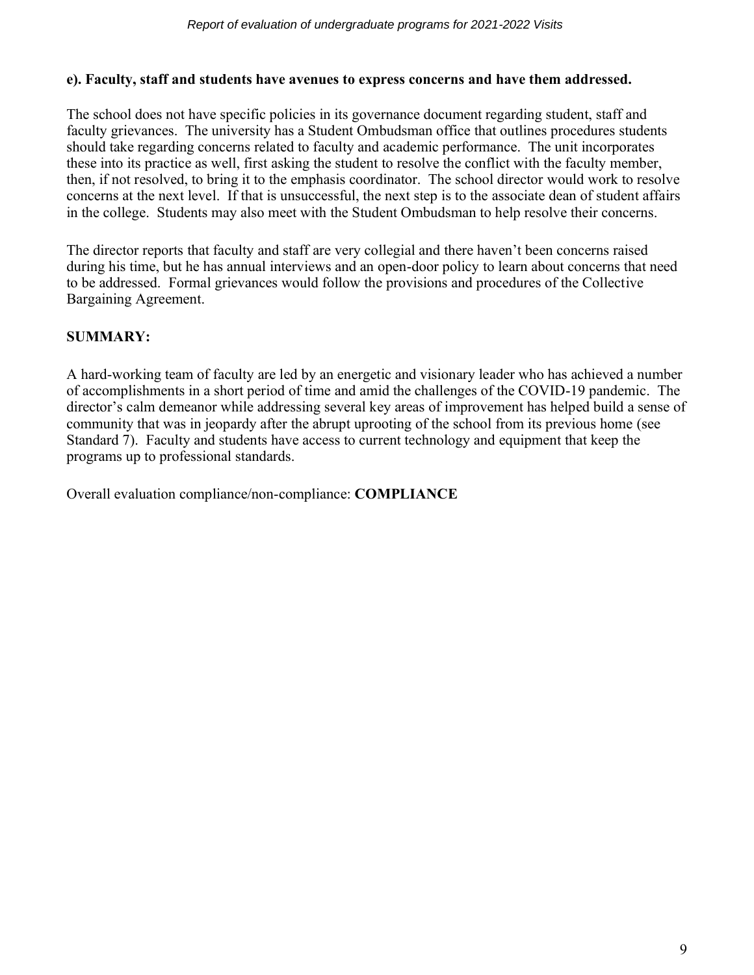#### **e). Faculty, staff and students have avenues to express concerns and have them addressed.**

The school does not have specific policies in its governance document regarding student, staff and faculty grievances. The university has a Student Ombudsman office that outlines procedures students should take regarding concerns related to faculty and academic performance. The unit incorporates these into its practice as well, first asking the student to resolve the conflict with the faculty member, then, if not resolved, to bring it to the emphasis coordinator. The school director would work to resolve concerns at the next level. If that is unsuccessful, the next step is to the associate dean of student affairs in the college. Students may also meet with the Student Ombudsman to help resolve their concerns.

The director reports that faculty and staff are very collegial and there haven't been concerns raised during his time, but he has annual interviews and an open-door policy to learn about concerns that need to be addressed. Formal grievances would follow the provisions and procedures of the Collective Bargaining Agreement.

# **SUMMARY:**

A hard-working team of faculty are led by an energetic and visionary leader who has achieved a number of accomplishments in a short period of time and amid the challenges of the COVID-19 pandemic. The director's calm demeanor while addressing several key areas of improvement has helped build a sense of community that was in jeopardy after the abrupt uprooting of the school from its previous home (see Standard 7). Faculty and students have access to current technology and equipment that keep the programs up to professional standards.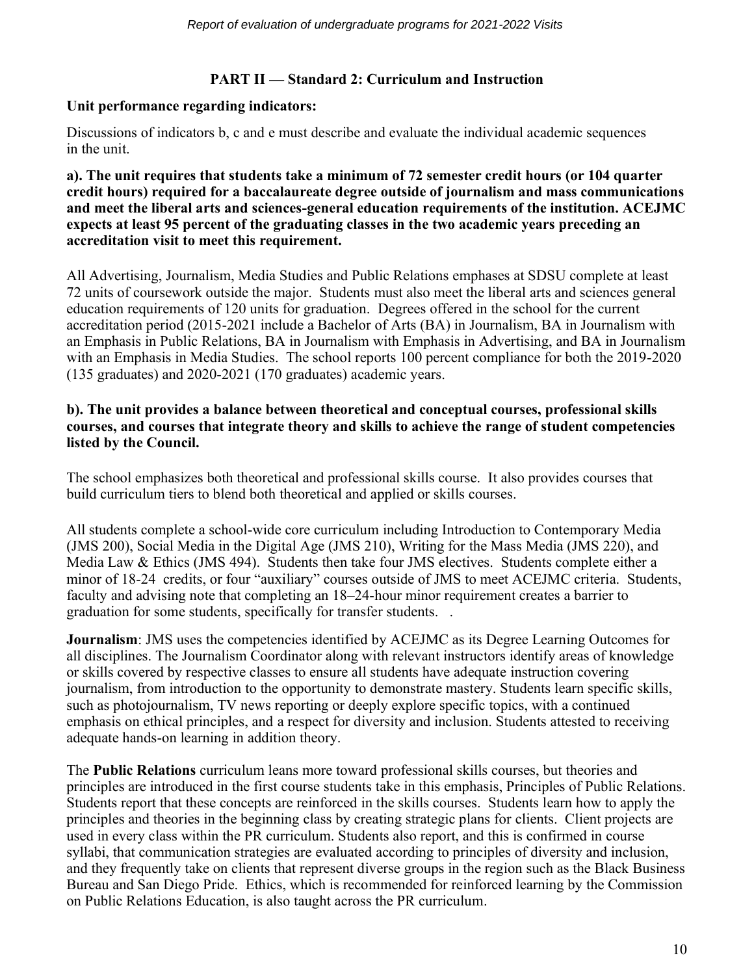#### **PART II — Standard 2: Curriculum and Instruction**

#### **Unit performance regarding indicators:**

Discussions of indicators b, c and e must describe and evaluate the individual academic sequences in the unit.

#### **a). The unit requires that students take a minimum of 72 semester credit hours (or 104 quarter credit hours) required for a baccalaureate degree outside of journalism and mass communications and meet the liberal arts and sciences-general education requirements of the institution. ACEJMC expects at least 95 percent of the graduating classes in the two academic years preceding an accreditation visit to meet this requirement.**

All Advertising, Journalism, Media Studies and Public Relations emphases at SDSU complete at least 72 units of coursework outside the major. Students must also meet the liberal arts and sciences general education requirements of 120 units for graduation. Degrees offered in the school for the current accreditation period (2015-2021 include a Bachelor of Arts (BA) in Journalism, BA in Journalism with an Emphasis in Public Relations, BA in Journalism with Emphasis in Advertising, and BA in Journalism with an Emphasis in Media Studies. The school reports 100 percent compliance for both the 2019-2020 (135 graduates) and 2020-2021 (170 graduates) academic years.

#### **b). The unit provides a balance between theoretical and conceptual courses, professional skills courses, and courses that integrate theory and skills to achieve the range of student competencies listed by the Council.**

The school emphasizes both theoretical and professional skills course. It also provides courses that build curriculum tiers to blend both theoretical and applied or skills courses.

All students complete a school-wide core curriculum including Introduction to Contemporary Media (JMS 200), Social Media in the Digital Age (JMS 210), Writing for the Mass Media (JMS 220), and Media Law & Ethics (JMS 494). Students then take four JMS electives. Students complete either a minor of 18-24 credits, or four "auxiliary" courses outside of JMS to meet ACEJMC criteria. Students, faculty and advising note that completing an 18–24-hour minor requirement creates a barrier to graduation for some students, specifically for transfer students. .

**Journalism**: JMS uses the competencies identified by ACEJMC as its Degree Learning Outcomes for all disciplines. The Journalism Coordinator along with relevant instructors identify areas of knowledge or skills covered by respective classes to ensure all students have adequate instruction covering journalism, from introduction to the opportunity to demonstrate mastery. Students learn specific skills, such as photojournalism, TV news reporting or deeply explore specific topics, with a continued emphasis on ethical principles, and a respect for diversity and inclusion. Students attested to receiving adequate hands-on learning in addition theory.

The **Public Relations** curriculum leans more toward professional skills courses, but theories and principles are introduced in the first course students take in this emphasis, Principles of Public Relations. Students report that these concepts are reinforced in the skills courses. Students learn how to apply the principles and theories in the beginning class by creating strategic plans for clients. Client projects are used in every class within the PR curriculum. Students also report, and this is confirmed in course syllabi, that communication strategies are evaluated according to principles of diversity and inclusion, and they frequently take on clients that represent diverse groups in the region such as the Black Business Bureau and San Diego Pride. Ethics, which is recommended for reinforced learning by the Commission on Public Relations Education, is also taught across the PR curriculum.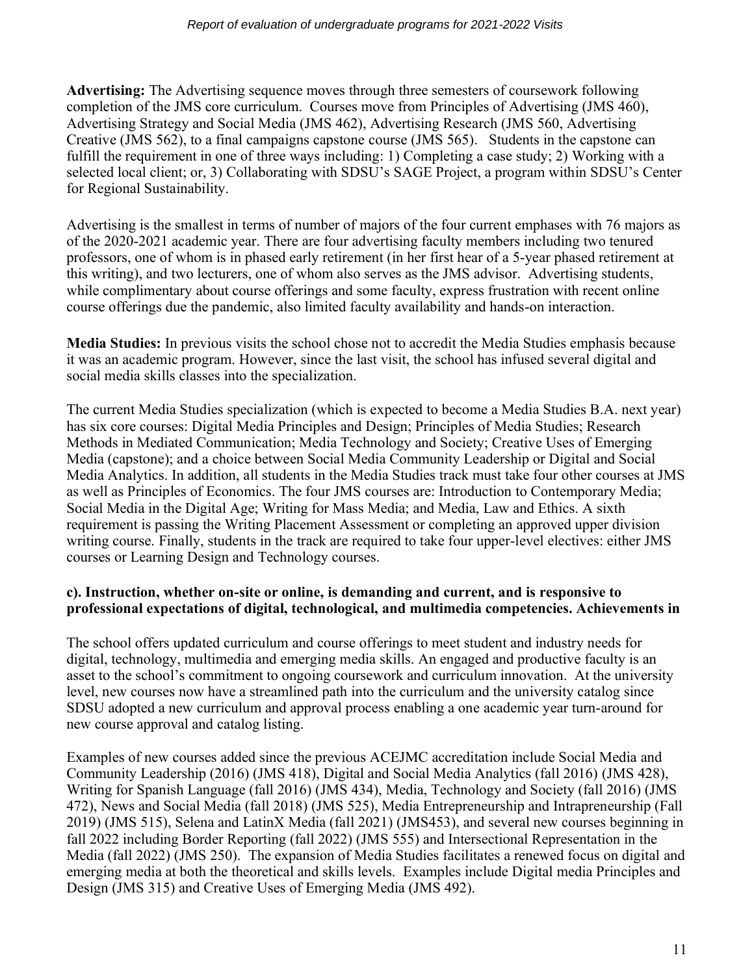**Advertising:** The Advertising sequence moves through three semesters of coursework following completion of the JMS core curriculum. Courses move from Principles of Advertising (JMS 460), Advertising Strategy and Social Media (JMS 462), Advertising Research (JMS 560, Advertising Creative (JMS 562), to a final campaigns capstone course (JMS 565). Students in the capstone can fulfill the requirement in one of three ways including: 1) Completing a case study; 2) Working with a selected local client; or, 3) Collaborating with SDSU's SAGE Project, a program within SDSU's Center for Regional Sustainability.

Advertising is the smallest in terms of number of majors of the four current emphases with 76 majors as of the 2020-2021 academic year. There are four advertising faculty members including two tenured professors, one of whom is in phased early retirement (in her first hear of a 5-year phased retirement at this writing), and two lecturers, one of whom also serves as the JMS advisor. Advertising students, while complimentary about course offerings and some faculty, express frustration with recent online course offerings due the pandemic, also limited faculty availability and hands-on interaction.

**Media Studies:** In previous visits the school chose not to accredit the Media Studies emphasis because it was an academic program. However, since the last visit, the school has infused several digital and social media skills classes into the specialization.

The current Media Studies specialization (which is expected to become a Media Studies B.A. next year) has six core courses: Digital Media Principles and Design; Principles of Media Studies; Research Methods in Mediated Communication; Media Technology and Society; Creative Uses of Emerging Media (capstone); and a choice between Social Media Community Leadership or Digital and Social Media Analytics. In addition, all students in the Media Studies track must take four other courses at JMS as well as Principles of Economics. The four JMS courses are: Introduction to Contemporary Media; Social Media in the Digital Age; Writing for Mass Media; and Media, Law and Ethics. A sixth requirement is passing the Writing Placement Assessment or completing an approved upper division writing course. Finally, students in the track are required to take four upper-level electives: either JMS courses or Learning Design and Technology courses.

#### **c). Instruction, whether on-site or online, is demanding and current, and is responsive to professional expectations of digital, technological, and multimedia competencies. Achievements in**

The school offers updated curriculum and course offerings to meet student and industry needs for digital, technology, multimedia and emerging media skills. An engaged and productive faculty is an asset to the school's commitment to ongoing coursework and curriculum innovation. At the university level, new courses now have a streamlined path into the curriculum and the university catalog since SDSU adopted a new curriculum and approval process enabling a one academic year turn-around for new course approval and catalog listing.

Examples of new courses added since the previous ACEJMC accreditation include Social Media and Community Leadership (2016) (JMS 418), Digital and Social Media Analytics (fall 2016) (JMS 428), Writing for Spanish Language (fall 2016) (JMS 434), Media, Technology and Society (fall 2016) (JMS 472), News and Social Media (fall 2018) (JMS 525), Media Entrepreneurship and Intrapreneurship (Fall 2019) (JMS 515), Selena and LatinX Media (fall 2021) (JMS453), and several new courses beginning in fall 2022 including Border Reporting (fall 2022) (JMS 555) and Intersectional Representation in the Media (fall 2022) (JMS 250). The expansion of Media Studies facilitates a renewed focus on digital and emerging media at both the theoretical and skills levels. Examples include Digital media Principles and Design (JMS 315) and Creative Uses of Emerging Media (JMS 492).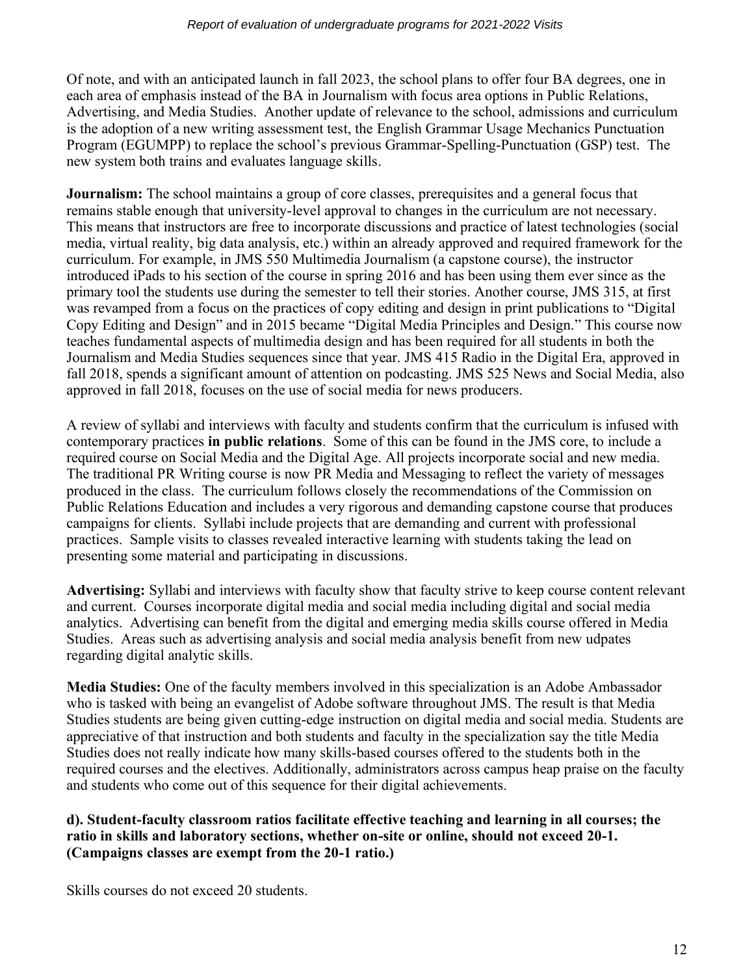Of note, and with an anticipated launch in fall 2023, the school plans to offer four BA degrees, one in each area of emphasis instead of the BA in Journalism with focus area options in Public Relations, Advertising, and Media Studies. Another update of relevance to the school, admissions and curriculum is the adoption of a new writing assessment test, the English Grammar Usage Mechanics Punctuation Program (EGUMPP) to replace the school's previous Grammar-Spelling-Punctuation (GSP) test. The new system both trains and evaluates language skills.

**Journalism:** The school maintains a group of core classes, prerequisites and a general focus that remains stable enough that university-level approval to changes in the curriculum are not necessary. This means that instructors are free to incorporate discussions and practice of latest technologies (social media, virtual reality, big data analysis, etc.) within an already approved and required framework for the curriculum. For example, in JMS 550 Multimedia Journalism (a capstone course), the instructor introduced iPads to his section of the course in spring 2016 and has been using them ever since as the primary tool the students use during the semester to tell their stories. Another course, JMS 315, at first was revamped from a focus on the practices of copy editing and design in print publications to "Digital Copy Editing and Design" and in 2015 became "Digital Media Principles and Design." This course now teaches fundamental aspects of multimedia design and has been required for all students in both the Journalism and Media Studies sequences since that year. JMS 415 Radio in the Digital Era, approved in fall 2018, spends a significant amount of attention on podcasting. JMS 525 News and Social Media, also approved in fall 2018, focuses on the use of social media for news producers.

A review of syllabi and interviews with faculty and students confirm that the curriculum is infused with contemporary practices **in public relations**. Some of this can be found in the JMS core, to include a required course on Social Media and the Digital Age. All projects incorporate social and new media. The traditional PR Writing course is now PR Media and Messaging to reflect the variety of messages produced in the class. The curriculum follows closely the recommendations of the Commission on Public Relations Education and includes a very rigorous and demanding capstone course that produces campaigns for clients. Syllabi include projects that are demanding and current with professional practices. Sample visits to classes revealed interactive learning with students taking the lead on presenting some material and participating in discussions.

**Advertising:** Syllabi and interviews with faculty show that faculty strive to keep course content relevant and current. Courses incorporate digital media and social media including digital and social media analytics. Advertising can benefit from the digital and emerging media skills course offered in Media Studies. Areas such as advertising analysis and social media analysis benefit from new udpates regarding digital analytic skills.

**Media Studies:** One of the faculty members involved in this specialization is an Adobe Ambassador who is tasked with being an evangelist of Adobe software throughout JMS. The result is that Media Studies students are being given cutting-edge instruction on digital media and social media. Students are appreciative of that instruction and both students and faculty in the specialization say the title Media Studies does not really indicate how many skills-based courses offered to the students both in the required courses and the electives. Additionally, administrators across campus heap praise on the faculty and students who come out of this sequence for their digital achievements.

**d). Student-faculty classroom ratios facilitate effective teaching and learning in all courses; the ratio in skills and laboratory sections, whether on-site or online, should not exceed 20-1. (Campaigns classes are exempt from the 20-1 ratio.)** 

Skills courses do not exceed 20 students.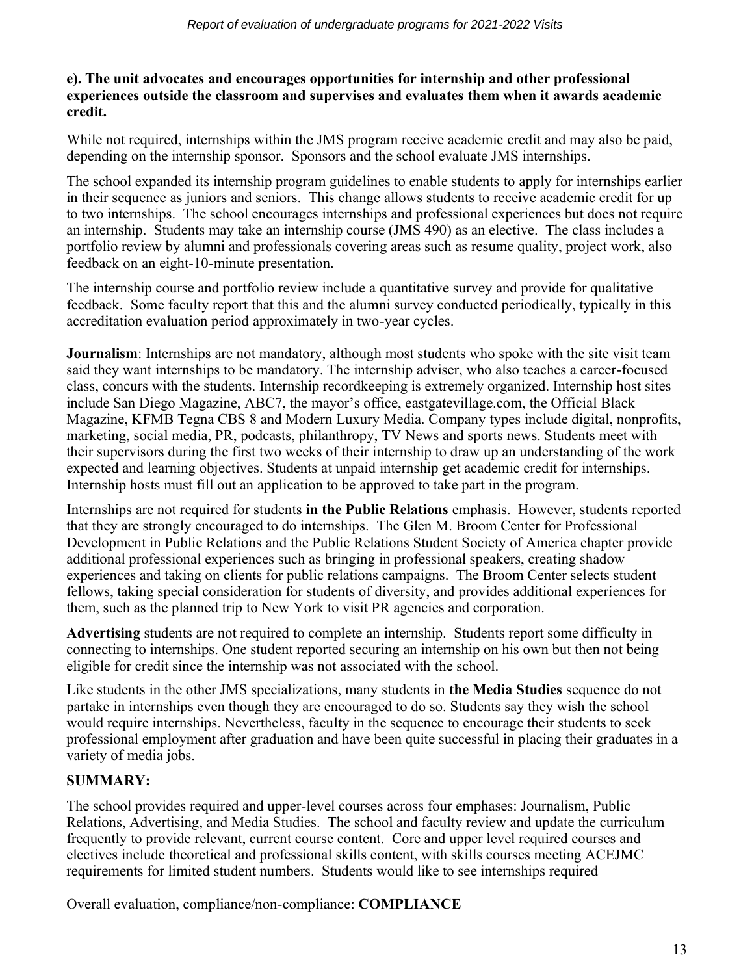#### **e). The unit advocates and encourages opportunities for internship and other professional experiences outside the classroom and supervises and evaluates them when it awards academic credit.**

While not required, internships within the JMS program receive academic credit and may also be paid, depending on the internship sponsor. Sponsors and the school evaluate JMS internships.

The school expanded its internship program guidelines to enable students to apply for internships earlier in their sequence as juniors and seniors. This change allows students to receive academic credit for up to two internships. The school encourages internships and professional experiences but does not require an internship. Students may take an internship course (JMS 490) as an elective. The class includes a portfolio review by alumni and professionals covering areas such as resume quality, project work, also feedback on an eight-10-minute presentation.

The internship course and portfolio review include a quantitative survey and provide for qualitative feedback. Some faculty report that this and the alumni survey conducted periodically, typically in this accreditation evaluation period approximately in two-year cycles.

**Journalism**: Internships are not mandatory, although most students who spoke with the site visit team said they want internships to be mandatory. The internship adviser, who also teaches a career-focused class, concurs with the students. Internship recordkeeping is extremely organized. Internship host sites include San Diego Magazine, ABC7, the mayor's office, eastgatevillage.com, the Official Black Magazine, KFMB Tegna CBS 8 and Modern Luxury Media. Company types include digital, nonprofits, marketing, social media, PR, podcasts, philanthropy, TV News and sports news. Students meet with their supervisors during the first two weeks of their internship to draw up an understanding of the work expected and learning objectives. Students at unpaid internship get academic credit for internships. Internship hosts must fill out an application to be approved to take part in the program.

Internships are not required for students **in the Public Relations** emphasis. However, students reported that they are strongly encouraged to do internships. The Glen M. Broom Center for Professional Development in Public Relations and the Public Relations Student Society of America chapter provide additional professional experiences such as bringing in professional speakers, creating shadow experiences and taking on clients for public relations campaigns. The Broom Center selects student fellows, taking special consideration for students of diversity, and provides additional experiences for them, such as the planned trip to New York to visit PR agencies and corporation.

**Advertising** students are not required to complete an internship. Students report some difficulty in connecting to internships. One student reported securing an internship on his own but then not being eligible for credit since the internship was not associated with the school.

Like students in the other JMS specializations, many students in **the Media Studies** sequence do not partake in internships even though they are encouraged to do so. Students say they wish the school would require internships. Nevertheless, faculty in the sequence to encourage their students to seek professional employment after graduation and have been quite successful in placing their graduates in a variety of media jobs.

# **SUMMARY:**

The school provides required and upper-level courses across four emphases: Journalism, Public Relations, Advertising, and Media Studies. The school and faculty review and update the curriculum frequently to provide relevant, current course content. Core and upper level required courses and electives include theoretical and professional skills content, with skills courses meeting ACEJMC requirements for limited student numbers. Students would like to see internships required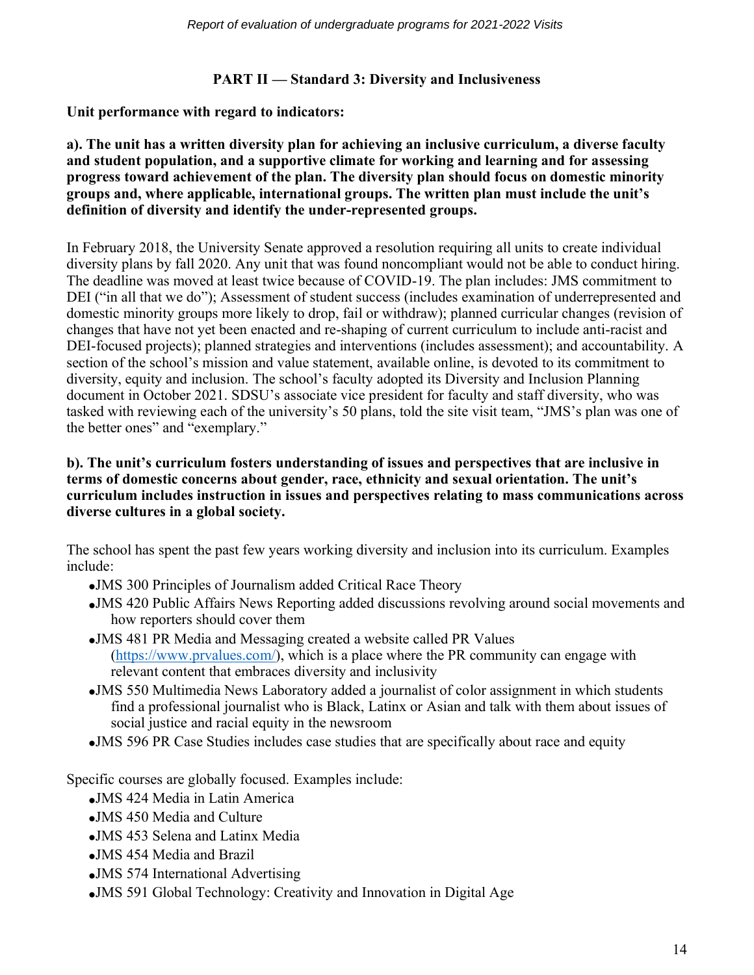## **PART II — Standard 3: Diversity and Inclusiveness**

**Unit performance with regard to indicators:**

**a). The unit has a written diversity plan for achieving an inclusive curriculum, a diverse faculty and student population, and a supportive climate for working and learning and for assessing progress toward achievement of the plan. The diversity plan should focus on domestic minority groups and, where applicable, international groups. The written plan must include the unit's definition of diversity and identify the under-represented groups.**

In February 2018, the University Senate approved a resolution requiring all units to create individual diversity plans by fall 2020. Any unit that was found noncompliant would not be able to conduct hiring. The deadline was moved at least twice because of COVID-19. The plan includes: JMS commitment to DEI ("in all that we do"); Assessment of student success (includes examination of underrepresented and domestic minority groups more likely to drop, fail or withdraw); planned curricular changes (revision of changes that have not yet been enacted and re-shaping of current curriculum to include anti-racist and DEI-focused projects); planned strategies and interventions (includes assessment); and accountability. A section of the school's mission and value statement, available online, is devoted to its commitment to diversity, equity and inclusion. The school's faculty adopted its Diversity and Inclusion Planning document in October 2021. SDSU's associate vice president for faculty and staff diversity, who was tasked with reviewing each of the university's 50 plans, told the site visit team, "JMS's plan was one of the better ones" and "exemplary."

#### **b). The unit's curriculum fosters understanding of issues and perspectives that are inclusive in terms of domestic concerns about gender, race, ethnicity and sexual orientation. The unit's curriculum includes instruction in issues and perspectives relating to mass communications across diverse cultures in a global society.**

The school has spent the past few years working diversity and inclusion into its curriculum. Examples include:

- •JMS 300 Principles of Journalism added Critical Race Theory
- •JMS 420 Public Affairs News Reporting added discussions revolving around social movements and how reporters should cover them
- •JMS 481 PR Media and Messaging created a website called PR Values [\(https://www.prvalues.com/\)](https://www.prvalues.com/), which is a place where the PR community can engage with relevant content that embraces diversity and inclusivity
- •JMS 550 Multimedia News Laboratory added a journalist of color assignment in which students find a professional journalist who is Black, Latinx or Asian and talk with them about issues of social justice and racial equity in the newsroom
- •JMS 596 PR Case Studies includes case studies that are specifically about race and equity

Specific courses are globally focused. Examples include:

- •JMS 424 Media in Latin America
- •JMS 450 Media and Culture
- •JMS 453 Selena and Latinx Media
- •JMS 454 Media and Brazil
- •JMS 574 International Advertising
- •JMS 591 Global Technology: Creativity and Innovation in Digital Age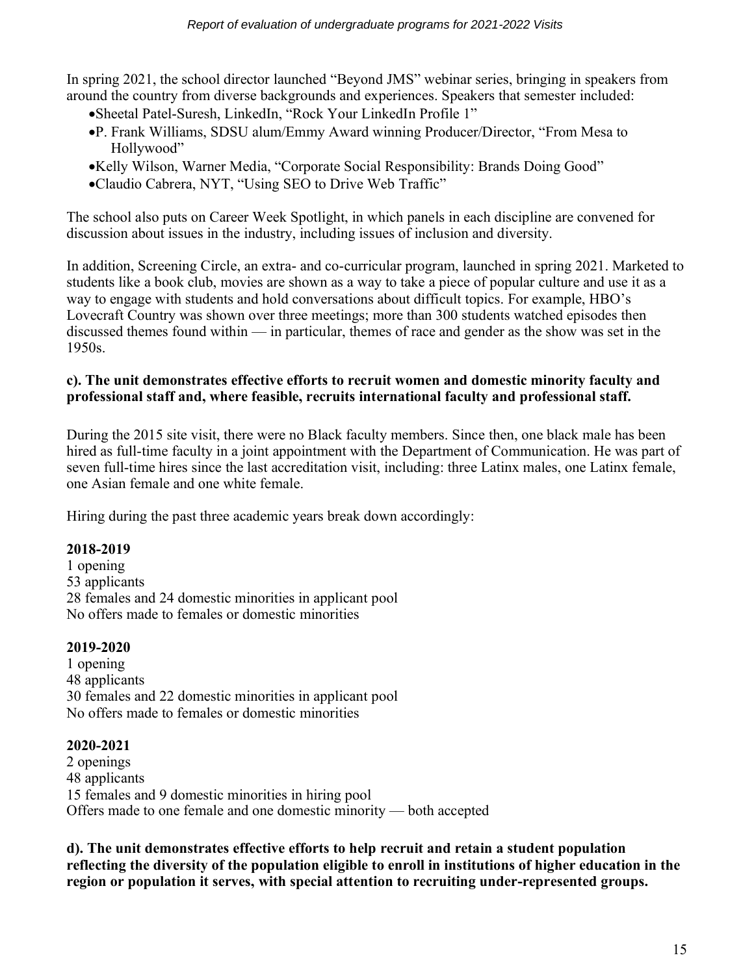In spring 2021, the school director launched "Beyond JMS" webinar series, bringing in speakers from around the country from diverse backgrounds and experiences. Speakers that semester included:

- •Sheetal Patel-Suresh, LinkedIn, "Rock Your LinkedIn Profile 1"
- •P. Frank Williams, SDSU alum/Emmy Award winning Producer/Director, "From Mesa to Hollywood"
- •Kelly Wilson, Warner Media, "Corporate Social Responsibility: Brands Doing Good"
- •Claudio Cabrera, NYT, "Using SEO to Drive Web Traffic"

The school also puts on Career Week Spotlight, in which panels in each discipline are convened for discussion about issues in the industry, including issues of inclusion and diversity.

In addition, Screening Circle, an extra- and co-curricular program, launched in spring 2021. Marketed to students like a book club, movies are shown as a way to take a piece of popular culture and use it as a way to engage with students and hold conversations about difficult topics. For example, HBO's Lovecraft Country was shown over three meetings; more than 300 students watched episodes then discussed themes found within — in particular, themes of race and gender as the show was set in the 1950s.

## **c). The unit demonstrates effective efforts to recruit women and domestic minority faculty and professional staff and, where feasible, recruits international faculty and professional staff.**

During the 2015 site visit, there were no Black faculty members. Since then, one black male has been hired as full-time faculty in a joint appointment with the Department of Communication. He was part of seven full-time hires since the last accreditation visit, including: three Latinx males, one Latinx female, one Asian female and one white female.

Hiring during the past three academic years break down accordingly:

# **2018-2019**

1 opening 53 applicants 28 females and 24 domestic minorities in applicant pool No offers made to females or domestic minorities

#### **2019-2020**

1 opening 48 applicants 30 females and 22 domestic minorities in applicant pool No offers made to females or domestic minorities

# **2020-2021**

2 openings 48 applicants 15 females and 9 domestic minorities in hiring pool Offers made to one female and one domestic minority — both accepted

**d). The unit demonstrates effective efforts to help recruit and retain a student population reflecting the diversity of the population eligible to enroll in institutions of higher education in the region or population it serves, with special attention to recruiting under-represented groups.**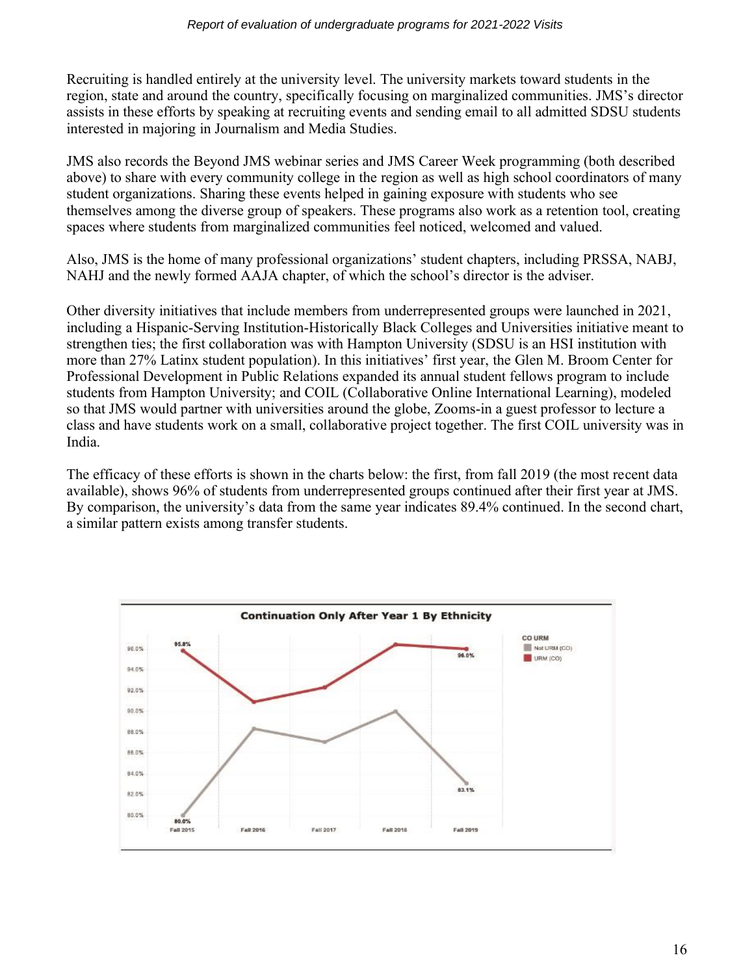Recruiting is handled entirely at the university level. The university markets toward students in the region, state and around the country, specifically focusing on marginalized communities. JMS's director assists in these efforts by speaking at recruiting events and sending email to all admitted SDSU students interested in majoring in Journalism and Media Studies.

JMS also records the Beyond JMS webinar series and JMS Career Week programming (both described above) to share with every community college in the region as well as high school coordinators of many student organizations. Sharing these events helped in gaining exposure with students who see themselves among the diverse group of speakers. These programs also work as a retention tool, creating spaces where students from marginalized communities feel noticed, welcomed and valued.

Also, JMS is the home of many professional organizations' student chapters, including PRSSA, NABJ, NAHJ and the newly formed AAJA chapter, of which the school's director is the adviser.

Other diversity initiatives that include members from underrepresented groups were launched in 2021, including a Hispanic-Serving Institution-Historically Black Colleges and Universities initiative meant to strengthen ties; the first collaboration was with Hampton University (SDSU is an HSI institution with more than 27% Latinx student population). In this initiatives' first year, the Glen M. Broom Center for Professional Development in Public Relations expanded its annual student fellows program to include students from Hampton University; and COIL (Collaborative Online International Learning), modeled so that JMS would partner with universities around the globe, Zooms-in a guest professor to lecture a class and have students work on a small, collaborative project together. The first COIL university was in India.

The efficacy of these efforts is shown in the charts below: the first, from fall 2019 (the most recent data available), shows 96% of students from underrepresented groups continued after their first year at JMS. By comparison, the university's data from the same year indicates 89.4% continued. In the second chart, a similar pattern exists among transfer students.

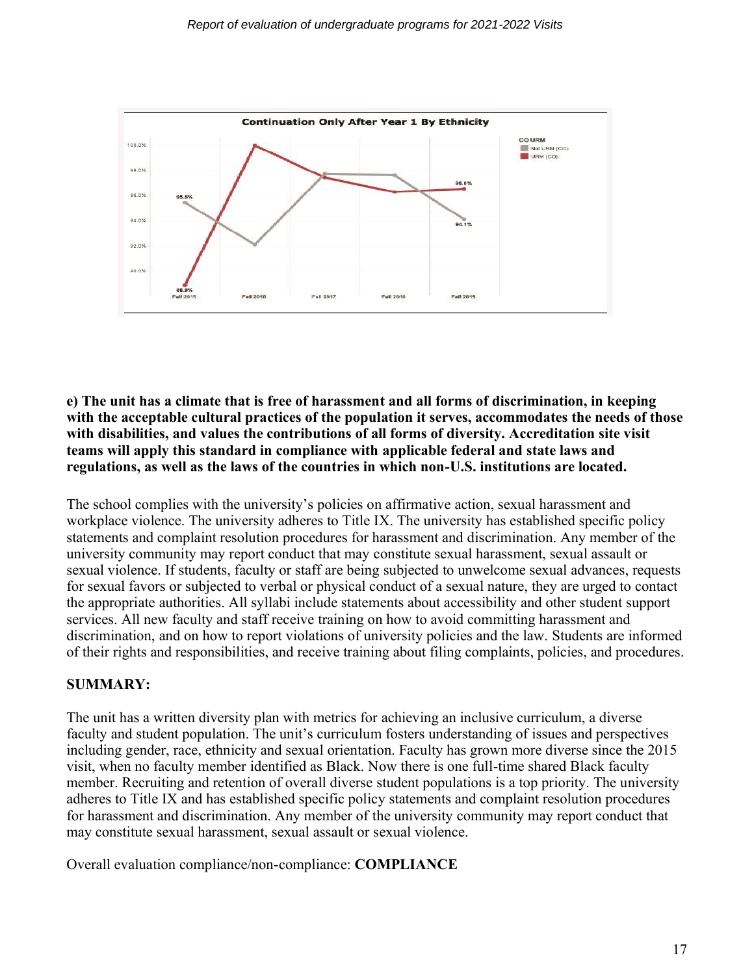

**e) The unit has a climate that is free of harassment and all forms of discrimination, in keeping with the acceptable cultural practices of the population it serves, accommodates the needs of those with disabilities, and values the contributions of all forms of diversity. Accreditation site visit teams will apply this standard in compliance with applicable federal and state laws and regulations, as well as the laws of the countries in which non-U.S. institutions are located.**

The school complies with the university's policies on affirmative action, sexual harassment and workplace violence. The university adheres to Title IX. The university has established specific policy statements and complaint resolution procedures for harassment and discrimination. Any member of the university community may report conduct that may constitute sexual harassment, sexual assault or sexual violence. If students, faculty or staff are being subjected to unwelcome sexual advances, requests for sexual favors or subjected to verbal or physical conduct of a sexual nature, they are urged to contact the appropriate authorities. All syllabi include statements about accessibility and other student support services. All new faculty and staff receive training on how to avoid committing harassment and discrimination, and on how to report violations of university policies and the law. Students are informed of their rights and responsibilities, and receive training about filing complaints, policies, and procedures.

#### **SUMMARY:**

The unit has a written diversity plan with metrics for achieving an inclusive curriculum, a diverse faculty and student population. The unit's curriculum fosters understanding of issues and perspectives including gender, race, ethnicity and sexual orientation. Faculty has grown more diverse since the 2015 visit, when no faculty member identified as Black. Now there is one full-time shared Black faculty member. Recruiting and retention of overall diverse student populations is a top priority. The university adheres to Title IX and has established specific policy statements and complaint resolution procedures for harassment and discrimination. Any member of the university community may report conduct that may constitute sexual harassment, sexual assault or sexual violence.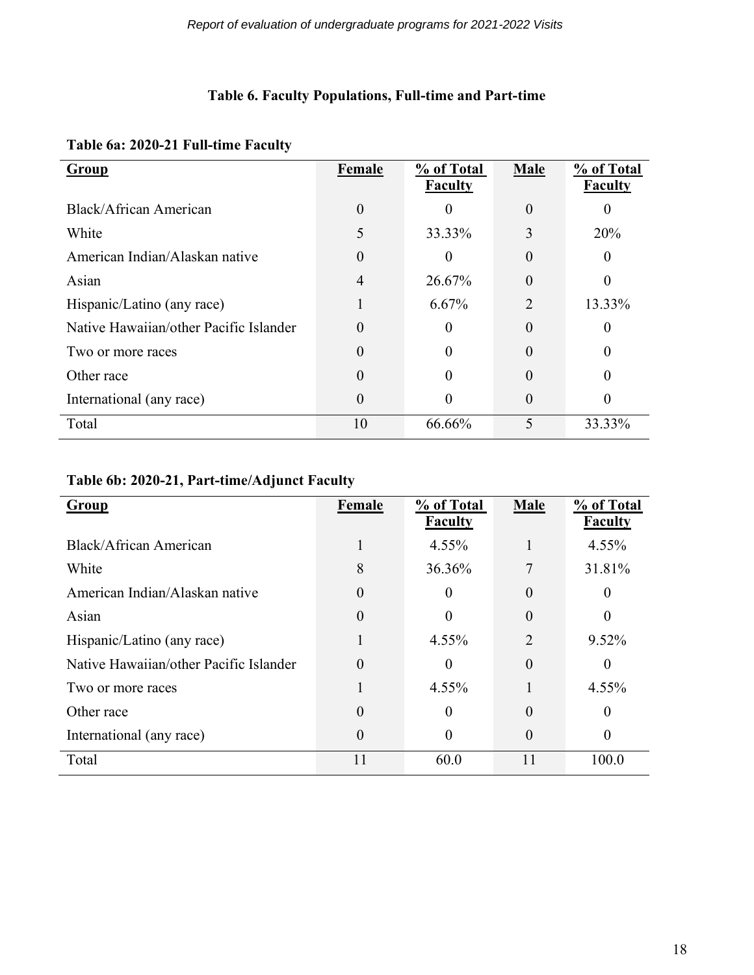# **Table 6. Faculty Populations, Full-time and Part-time**

|  |  | Table 6a: 2020-21 Full-time Faculty |  |
|--|--|-------------------------------------|--|
|--|--|-------------------------------------|--|

| Group                                  | Female | % of Total<br><b>Faculty</b> | Male           | % of Total<br><b>Faculty</b> |
|----------------------------------------|--------|------------------------------|----------------|------------------------------|
| Black/African American                 | 0      | $\Omega$                     | $\theta$       |                              |
| White                                  | 5      | 33.33%                       | 3              | 20%                          |
| American Indian/Alaskan native         | 0      |                              | $\theta$       |                              |
| Asian                                  | 4      | 26.67%                       | 0              |                              |
| Hispanic/Latino (any race)             |        | 6.67%                        | $\overline{2}$ | 13.33%                       |
| Native Hawaiian/other Pacific Islander | 0      |                              | $\theta$       |                              |
| Two or more races                      | 0      |                              | $\theta$       |                              |
| Other race                             | 0      |                              | $\theta$       |                              |
| International (any race)               | 0      | $\Omega$                     | $\theta$       |                              |
| Total                                  | 10     | 66.66%                       | 5              | 33.33%                       |

# **Table 6b: 2020-21, Part-time/Adjunct Faculty**

| <b>Group</b>                           | Female   | % of Total<br><b>Faculty</b> | <b>Male</b>    | % of Total<br><b>Faculty</b> |
|----------------------------------------|----------|------------------------------|----------------|------------------------------|
| Black/African American                 |          | $4.55\%$                     |                | 4.55%                        |
| White                                  | 8        | 36.36%                       | 7              | 31.81%                       |
| American Indian/Alaskan native         | 0        | $\Omega$                     | $\theta$       | 0                            |
| Asian                                  | $\theta$ |                              | $\Omega$       | 0                            |
| Hispanic/Latino (any race)             |          | 4.55%                        | $\overline{2}$ | 9.52%                        |
| Native Hawaiian/other Pacific Islander | 0        | 0                            | $\overline{0}$ | $\Omega$                     |
| Two or more races                      |          | 4.55%                        |                | 4.55%                        |
| Other race                             | $\theta$ | $\Omega$                     | $\theta$       | $\Omega$                     |
| International (any race)               | 0        | 0                            | $\Omega$       | 0                            |
| Total                                  | 11       | 60.0                         | 11             | 100.0                        |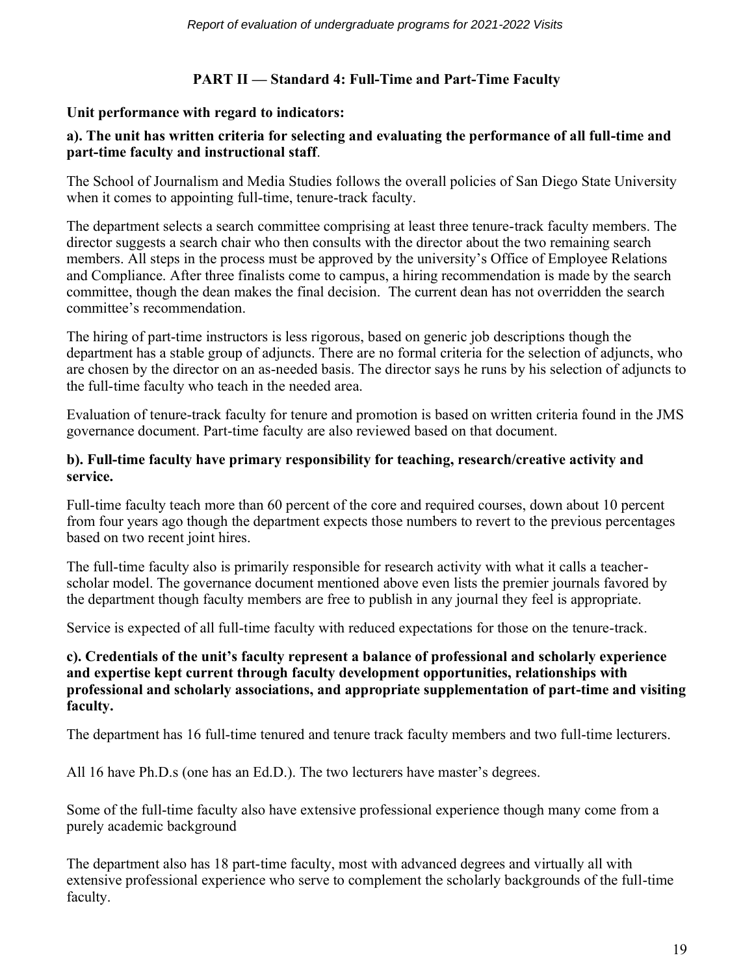# **PART II — Standard 4: Full-Time and Part-Time Faculty**

#### **Unit performance with regard to indicators:**

## **a). The unit has written criteria for selecting and evaluating the performance of all full-time and part-time faculty and instructional staff**.

The School of Journalism and Media Studies follows the overall policies of San Diego State University when it comes to appointing full-time, tenure-track faculty.

The department selects a search committee comprising at least three tenure-track faculty members. The director suggests a search chair who then consults with the director about the two remaining search members. All steps in the process must be approved by the university's Office of Employee Relations and Compliance. After three finalists come to campus, a hiring recommendation is made by the search committee, though the dean makes the final decision. The current dean has not overridden the search committee's recommendation.

The hiring of part-time instructors is less rigorous, based on generic job descriptions though the department has a stable group of adjuncts. There are no formal criteria for the selection of adjuncts, who are chosen by the director on an as-needed basis. The director says he runs by his selection of adjuncts to the full-time faculty who teach in the needed area.

Evaluation of tenure-track faculty for tenure and promotion is based on written criteria found in the JMS governance document. Part-time faculty are also reviewed based on that document.

#### **b). Full-time faculty have primary responsibility for teaching, research/creative activity and service.**

Full-time faculty teach more than 60 percent of the core and required courses, down about 10 percent from four years ago though the department expects those numbers to revert to the previous percentages based on two recent joint hires.

The full-time faculty also is primarily responsible for research activity with what it calls a teacherscholar model. The governance document mentioned above even lists the premier journals favored by the department though faculty members are free to publish in any journal they feel is appropriate.

Service is expected of all full-time faculty with reduced expectations for those on the tenure-track.

#### **c). Credentials of the unit's faculty represent a balance of professional and scholarly experience and expertise kept current through faculty development opportunities, relationships with professional and scholarly associations, and appropriate supplementation of part-time and visiting faculty.**

The department has 16 full-time tenured and tenure track faculty members and two full-time lecturers.

All 16 have Ph.D.s (one has an Ed.D.). The two lecturers have master's degrees.

Some of the full-time faculty also have extensive professional experience though many come from a purely academic background

The department also has 18 part-time faculty, most with advanced degrees and virtually all with extensive professional experience who serve to complement the scholarly backgrounds of the full-time faculty.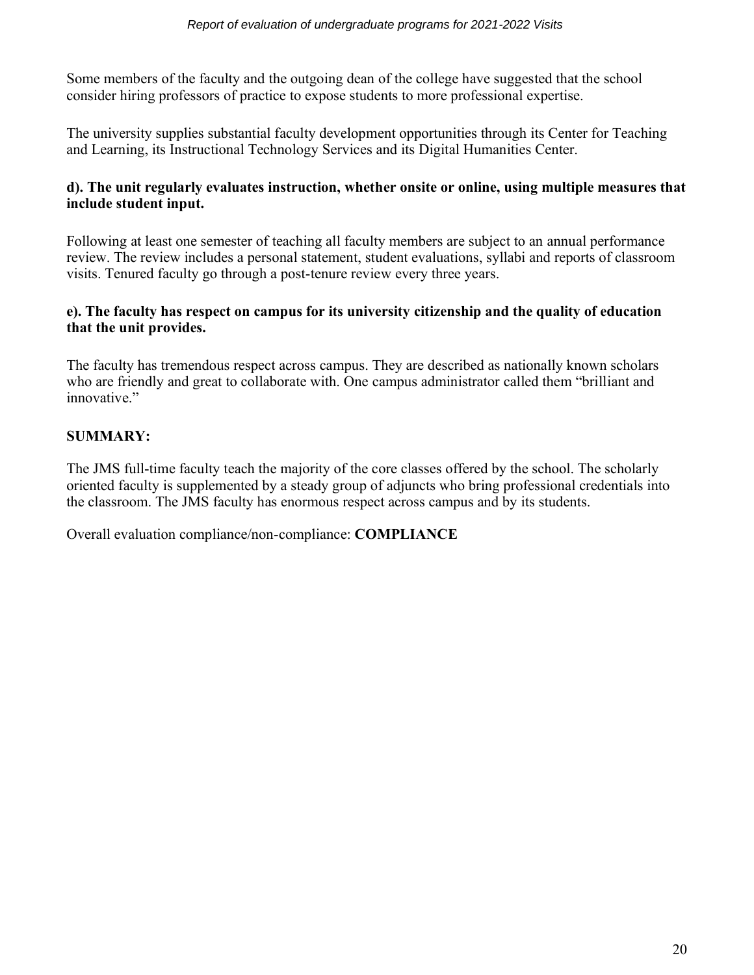Some members of the faculty and the outgoing dean of the college have suggested that the school consider hiring professors of practice to expose students to more professional expertise.

The university supplies substantial faculty development opportunities through its Center for Teaching and Learning, its Instructional Technology Services and its Digital Humanities Center.

#### **d). The unit regularly evaluates instruction, whether onsite or online, using multiple measures that include student input.**

Following at least one semester of teaching all faculty members are subject to an annual performance review. The review includes a personal statement, student evaluations, syllabi and reports of classroom visits. Tenured faculty go through a post-tenure review every three years.

# **e). The faculty has respect on campus for its university citizenship and the quality of education that the unit provides.**

The faculty has tremendous respect across campus. They are described as nationally known scholars who are friendly and great to collaborate with. One campus administrator called them "brilliant and innovative."

# **SUMMARY:**

The JMS full-time faculty teach the majority of the core classes offered by the school. The scholarly oriented faculty is supplemented by a steady group of adjuncts who bring professional credentials into the classroom. The JMS faculty has enormous respect across campus and by its students.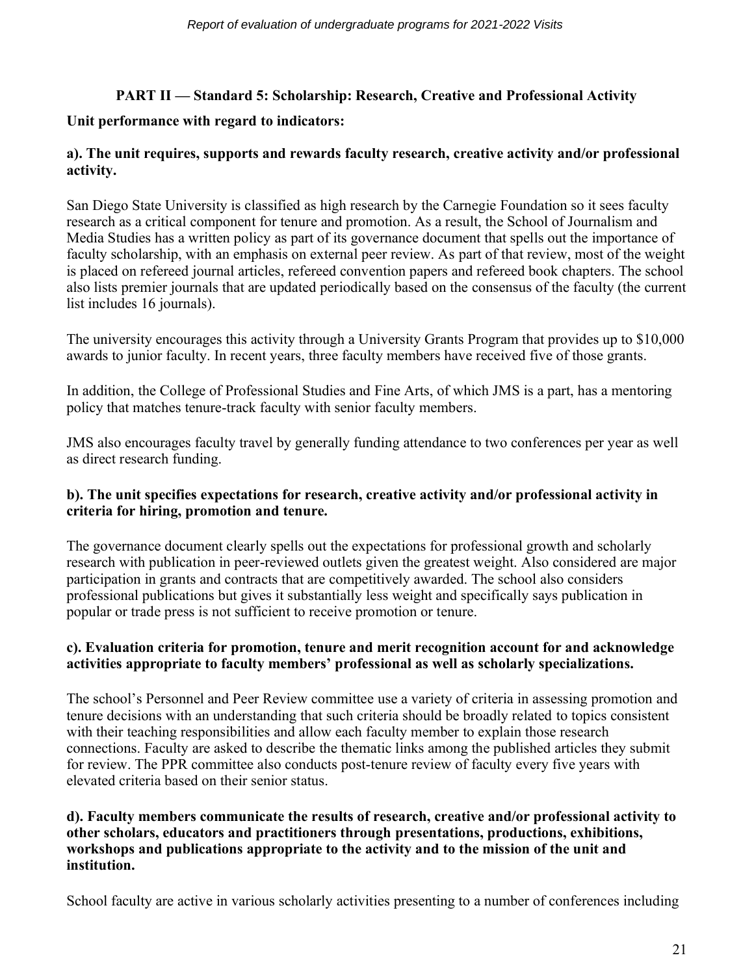# **PART II — Standard 5: Scholarship: Research, Creative and Professional Activity**

# **Unit performance with regard to indicators:**

# **a). The unit requires, supports and rewards faculty research, creative activity and/or professional activity.**

San Diego State University is classified as high research by the Carnegie Foundation so it sees faculty research as a critical component for tenure and promotion. As a result, the School of Journalism and Media Studies has a written policy as part of its governance document that spells out the importance of faculty scholarship, with an emphasis on external peer review. As part of that review, most of the weight is placed on refereed journal articles, refereed convention papers and refereed book chapters. The school also lists premier journals that are updated periodically based on the consensus of the faculty (the current list includes 16 journals).

The university encourages this activity through a University Grants Program that provides up to \$10,000 awards to junior faculty. In recent years, three faculty members have received five of those grants.

In addition, the College of Professional Studies and Fine Arts, of which JMS is a part, has a mentoring policy that matches tenure-track faculty with senior faculty members.

JMS also encourages faculty travel by generally funding attendance to two conferences per year as well as direct research funding.

## **b). The unit specifies expectations for research, creative activity and/or professional activity in criteria for hiring, promotion and tenure.**

The governance document clearly spells out the expectations for professional growth and scholarly research with publication in peer-reviewed outlets given the greatest weight. Also considered are major participation in grants and contracts that are competitively awarded. The school also considers professional publications but gives it substantially less weight and specifically says publication in popular or trade press is not sufficient to receive promotion or tenure.

# **c). Evaluation criteria for promotion, tenure and merit recognition account for and acknowledge activities appropriate to faculty members' professional as well as scholarly specializations.**

The school's Personnel and Peer Review committee use a variety of criteria in assessing promotion and tenure decisions with an understanding that such criteria should be broadly related to topics consistent with their teaching responsibilities and allow each faculty member to explain those research connections. Faculty are asked to describe the thematic links among the published articles they submit for review. The PPR committee also conducts post-tenure review of faculty every five years with elevated criteria based on their senior status.

#### **d). Faculty members communicate the results of research, creative and/or professional activity to other scholars, educators and practitioners through presentations, productions, exhibitions, workshops and publications appropriate to the activity and to the mission of the unit and institution.**

School faculty are active in various scholarly activities presenting to a number of conferences including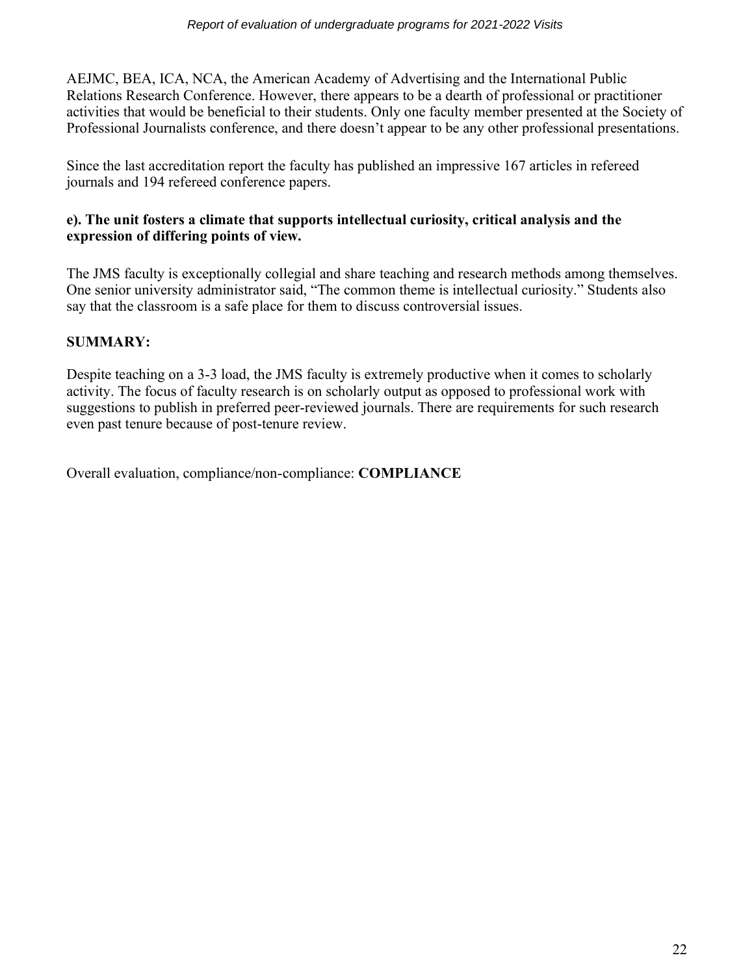AEJMC, BEA, ICA, NCA, the American Academy of Advertising and the International Public Relations Research Conference. However, there appears to be a dearth of professional or practitioner activities that would be beneficial to their students. Only one faculty member presented at the Society of Professional Journalists conference, and there doesn't appear to be any other professional presentations.

Since the last accreditation report the faculty has published an impressive 167 articles in refereed journals and 194 refereed conference papers.

#### **e). The unit fosters a climate that supports intellectual curiosity, critical analysis and the expression of differing points of view.**

The JMS faculty is exceptionally collegial and share teaching and research methods among themselves. One senior university administrator said, "The common theme is intellectual curiosity." Students also say that the classroom is a safe place for them to discuss controversial issues.

# **SUMMARY:**

Despite teaching on a 3-3 load, the JMS faculty is extremely productive when it comes to scholarly activity. The focus of faculty research is on scholarly output as opposed to professional work with suggestions to publish in preferred peer-reviewed journals. There are requirements for such research even past tenure because of post-tenure review.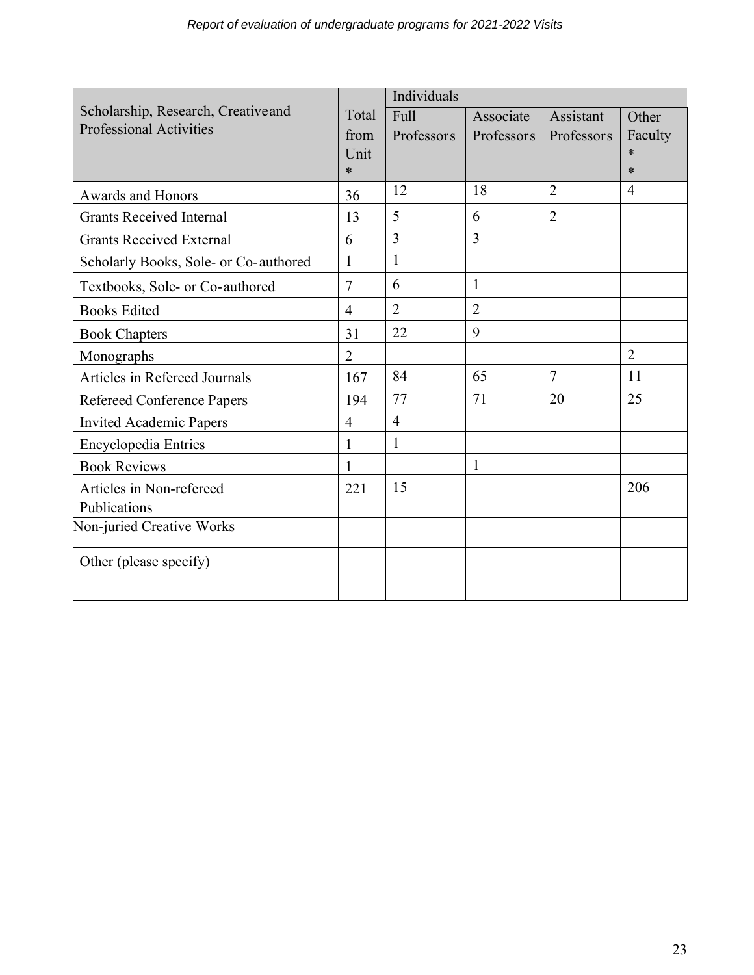|                                       |                | Individuals    |                |                |                |
|---------------------------------------|----------------|----------------|----------------|----------------|----------------|
| Scholarship, Research, Creative and   | Total          | Full           | Associate      | Assistant      | Other          |
| <b>Professional Activities</b>        | from           | Professors     | Professors     | Professors     | Faculty        |
|                                       | Unit           |                |                |                | $\ast$         |
|                                       | $\ast$         |                |                |                | $\ast$         |
| Awards and Honors                     | 36             | 12             | 18             | $\overline{2}$ | $\overline{4}$ |
| <b>Grants Received Internal</b>       | 13             | 5              | 6              | $\overline{2}$ |                |
| <b>Grants Received External</b>       | 6              | 3              | $\overline{3}$ |                |                |
| Scholarly Books, Sole- or Co-authored | $\mathbf{1}$   | 1              |                |                |                |
| Textbooks, Sole- or Co-authored       | $\overline{7}$ | 6              | 1              |                |                |
| <b>Books Edited</b>                   | $\overline{4}$ | $\overline{2}$ | $\overline{2}$ |                |                |
| <b>Book Chapters</b>                  | 31             | 22             | 9              |                |                |
| Monographs                            | $\overline{2}$ |                |                |                | $\overline{2}$ |
| Articles in Refereed Journals         | 167            | 84             | 65             | $\overline{7}$ | 11             |
| Refereed Conference Papers            | 194            | 77             | 71             | 20             | 25             |
| <b>Invited Academic Papers</b>        | $\overline{4}$ | $\overline{4}$ |                |                |                |
| <b>Encyclopedia Entries</b>           | 1              | 1              |                |                |                |
| <b>Book Reviews</b>                   |                |                | $\mathbf{1}$   |                |                |
| Articles in Non-refereed              | 221            | 15             |                |                | 206            |
| Publications                          |                |                |                |                |                |
| Non-juried Creative Works             |                |                |                |                |                |
| Other (please specify)                |                |                |                |                |                |
|                                       |                |                |                |                |                |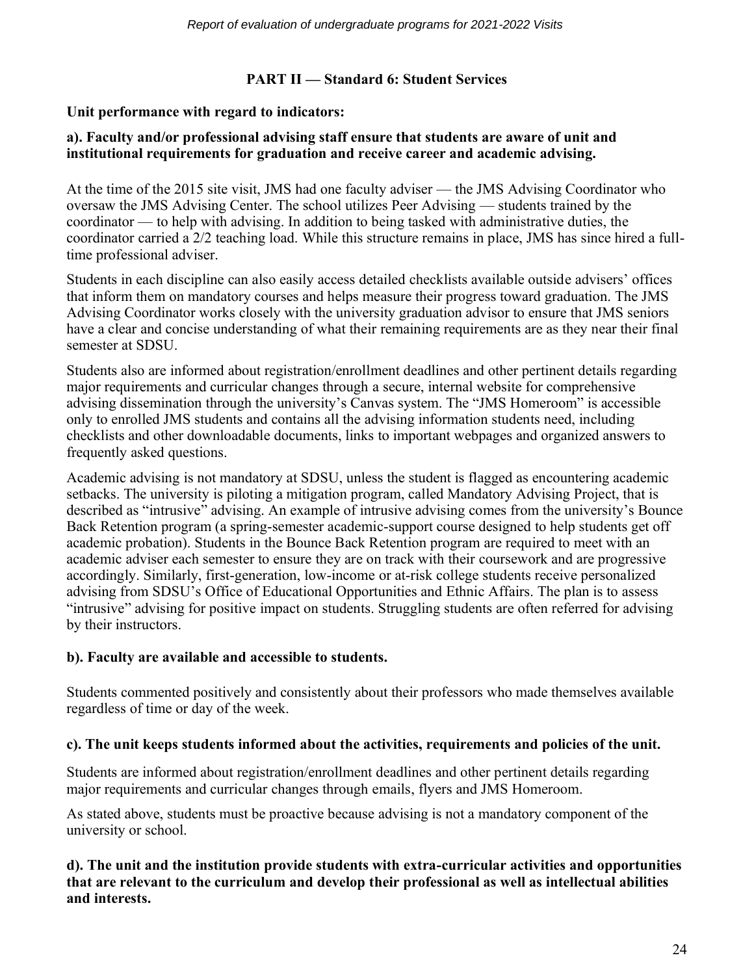# **PART II — Standard 6: Student Services**

#### **Unit performance with regard to indicators:**

#### **a). Faculty and/or professional advising staff ensure that students are aware of unit and institutional requirements for graduation and receive career and academic advising.**

At the time of the 2015 site visit, JMS had one faculty adviser — the JMS Advising Coordinator who oversaw the JMS Advising Center. The school utilizes Peer Advising — students trained by the coordinator — to help with advising. In addition to being tasked with administrative duties, the coordinator carried a 2/2 teaching load. While this structure remains in place, JMS has since hired a fulltime professional adviser.

Students in each discipline can also easily access detailed checklists available outside advisers' offices that inform them on mandatory courses and helps measure their progress toward graduation. The JMS Advising Coordinator works closely with the university graduation advisor to ensure that JMS seniors have a clear and concise understanding of what their remaining requirements are as they near their final semester at SDSU.

Students also are informed about registration/enrollment deadlines and other pertinent details regarding major requirements and curricular changes through a secure, internal website for comprehensive advising dissemination through the university's Canvas system. The "JMS Homeroom" is accessible only to enrolled JMS students and contains all the advising information students need, including checklists and other downloadable documents, links to important webpages and organized answers to frequently asked questions.

Academic advising is not mandatory at SDSU, unless the student is flagged as encountering academic setbacks. The university is piloting a mitigation program, called Mandatory Advising Project, that is described as "intrusive" advising. An example of intrusive advising comes from the university's Bounce Back Retention program (a spring-semester academic-support course designed to help students get off academic probation). Students in the Bounce Back Retention program are required to meet with an academic adviser each semester to ensure they are on track with their coursework and are progressive accordingly. Similarly, first-generation, low-income or at-risk college students receive personalized advising from SDSU's Office of Educational Opportunities and Ethnic Affairs. The plan is to assess "intrusive" advising for positive impact on students. Struggling students are often referred for advising by their instructors.

#### **b). Faculty are available and accessible to students.**

Students commented positively and consistently about their professors who made themselves available regardless of time or day of the week.

#### **c). The unit keeps students informed about the activities, requirements and policies of the unit.**

Students are informed about registration/enrollment deadlines and other pertinent details regarding major requirements and curricular changes through emails, flyers and JMS Homeroom.

As stated above, students must be proactive because advising is not a mandatory component of the university or school.

#### **d). The unit and the institution provide students with extra-curricular activities and opportunities that are relevant to the curriculum and develop their professional as well as intellectual abilities and interests.**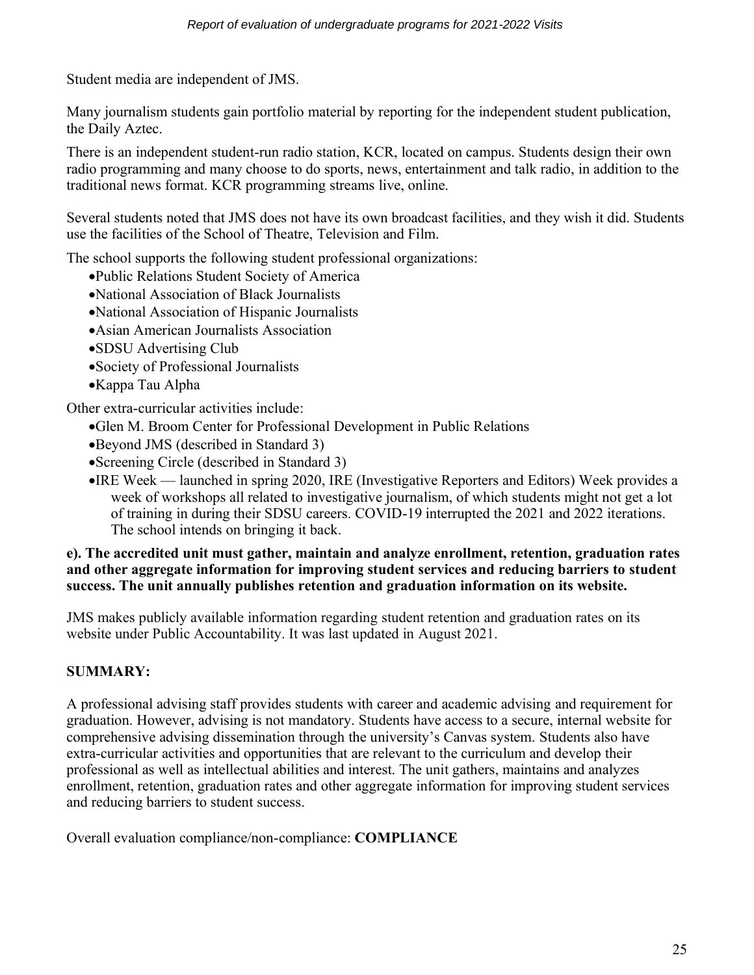Student media are independent of JMS.

Many journalism students gain portfolio material by reporting for the independent student publication, the Daily Aztec.

There is an independent student-run radio station, KCR, located on campus. Students design their own radio programming and many choose to do sports, news, entertainment and talk radio, in addition to the traditional news format. KCR programming streams live, online.

Several students noted that JMS does not have its own broadcast facilities, and they wish it did. Students use the facilities of the School of Theatre, Television and Film.

The school supports the following student professional organizations:

- •Public Relations Student Society of America
- •National Association of Black Journalists
- •National Association of Hispanic Journalists
- •Asian American Journalists Association
- •SDSU Advertising Club
- •Society of Professional Journalists
- •Kappa Tau Alpha

Other extra-curricular activities include:

- •Glen M. Broom Center for Professional Development in Public Relations
- •Beyond JMS (described in Standard 3)
- •Screening Circle (described in Standard 3)
- •IRE Week launched in spring 2020, IRE (Investigative Reporters and Editors) Week provides a week of workshops all related to investigative journalism, of which students might not get a lot of training in during their SDSU careers. COVID-19 interrupted the 2021 and 2022 iterations. The school intends on bringing it back.

#### **e). The accredited unit must gather, maintain and analyze enrollment, retention, graduation rates and other aggregate information for improving student services and reducing barriers to student success. The unit annually publishes retention and graduation information on its website.**

JMS makes publicly available information regarding student retention and graduation rates on its website under Public Accountability. It was last updated in August 2021.

# **SUMMARY:**

A professional advising staff provides students with career and academic advising and requirement for graduation. However, advising is not mandatory. Students have access to a secure, internal website for comprehensive advising dissemination through the university's Canvas system. Students also have extra-curricular activities and opportunities that are relevant to the curriculum and develop their professional as well as intellectual abilities and interest. The unit gathers, maintains and analyzes enrollment, retention, graduation rates and other aggregate information for improving student services and reducing barriers to student success.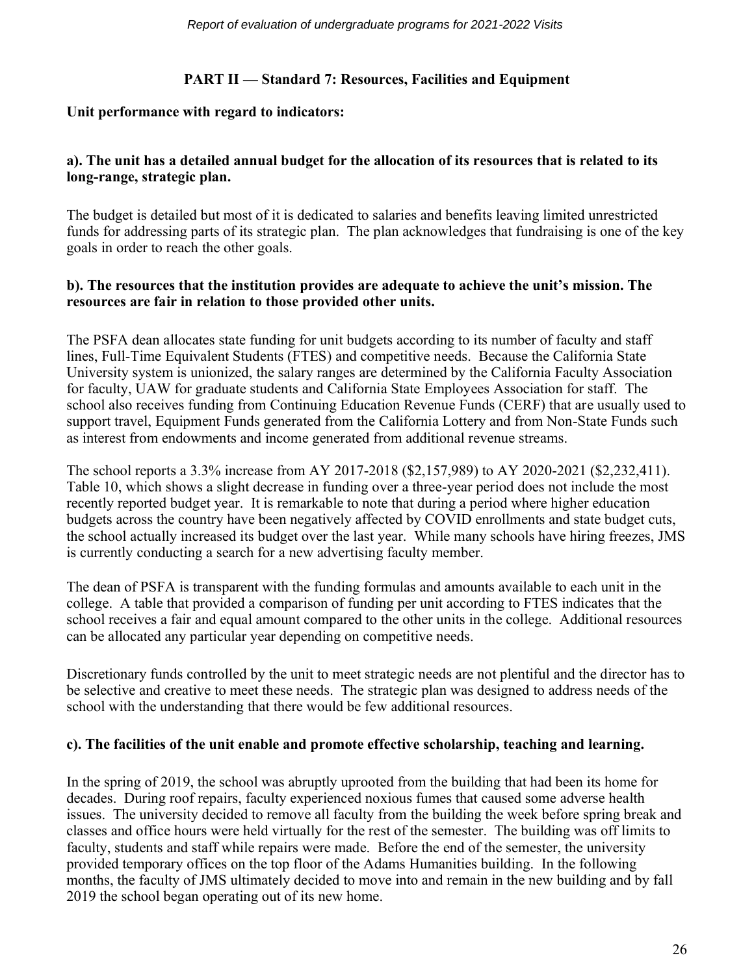# **PART II — Standard 7: Resources, Facilities and Equipment**

#### **Unit performance with regard to indicators:**

## **a). The unit has a detailed annual budget for the allocation of its resources that is related to its long-range, strategic plan.**

The budget is detailed but most of it is dedicated to salaries and benefits leaving limited unrestricted funds for addressing parts of its strategic plan. The plan acknowledges that fundraising is one of the key goals in order to reach the other goals.

#### **b). The resources that the institution provides are adequate to achieve the unit's mission. The resources are fair in relation to those provided other units.**

The PSFA dean allocates state funding for unit budgets according to its number of faculty and staff lines, Full-Time Equivalent Students (FTES) and competitive needs. Because the California State University system is unionized, the salary ranges are determined by the California Faculty Association for faculty, UAW for graduate students and California State Employees Association for staff. The school also receives funding from Continuing Education Revenue Funds (CERF) that are usually used to support travel, Equipment Funds generated from the California Lottery and from Non-State Funds such as interest from endowments and income generated from additional revenue streams.

The school reports a 3.3% increase from AY 2017-2018 (\$2,157,989) to AY 2020-2021 (\$2,232,411). Table 10, which shows a slight decrease in funding over a three-year period does not include the most recently reported budget year. It is remarkable to note that during a period where higher education budgets across the country have been negatively affected by COVID enrollments and state budget cuts, the school actually increased its budget over the last year. While many schools have hiring freezes, JMS is currently conducting a search for a new advertising faculty member.

The dean of PSFA is transparent with the funding formulas and amounts available to each unit in the college. A table that provided a comparison of funding per unit according to FTES indicates that the school receives a fair and equal amount compared to the other units in the college. Additional resources can be allocated any particular year depending on competitive needs.

Discretionary funds controlled by the unit to meet strategic needs are not plentiful and the director has to be selective and creative to meet these needs. The strategic plan was designed to address needs of the school with the understanding that there would be few additional resources.

#### **c). The facilities of the unit enable and promote effective scholarship, teaching and learning.**

In the spring of 2019, the school was abruptly uprooted from the building that had been its home for decades. During roof repairs, faculty experienced noxious fumes that caused some adverse health issues. The university decided to remove all faculty from the building the week before spring break and classes and office hours were held virtually for the rest of the semester. The building was off limits to faculty, students and staff while repairs were made. Before the end of the semester, the university provided temporary offices on the top floor of the Adams Humanities building. In the following months, the faculty of JMS ultimately decided to move into and remain in the new building and by fall 2019 the school began operating out of its new home.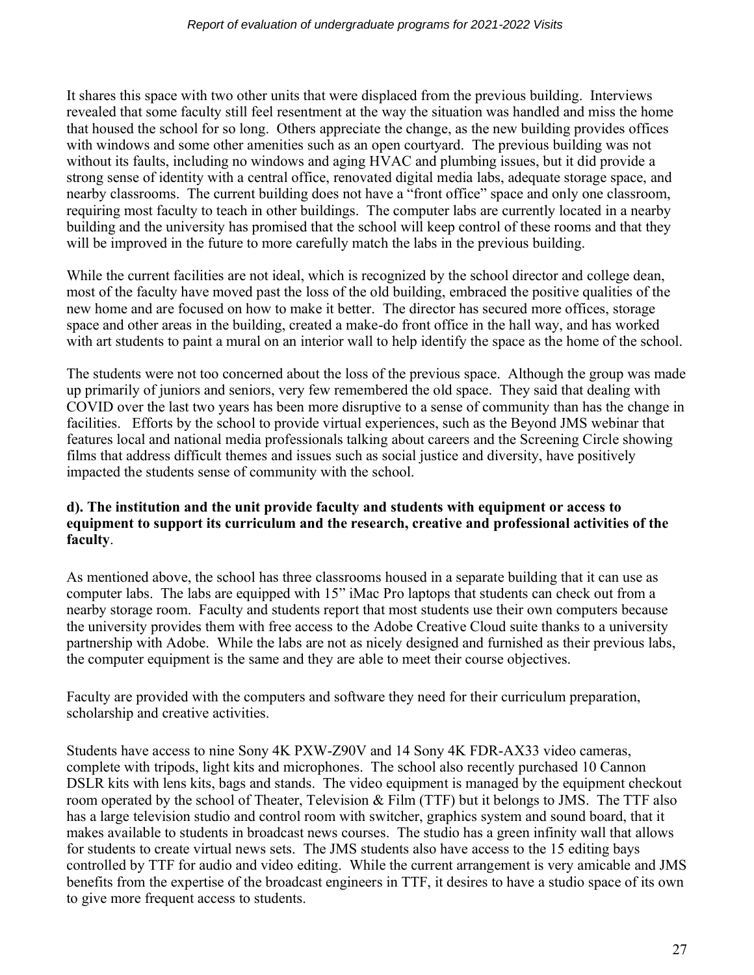It shares this space with two other units that were displaced from the previous building. Interviews revealed that some faculty still feel resentment at the way the situation was handled and miss the home that housed the school for so long. Others appreciate the change, as the new building provides offices with windows and some other amenities such as an open courtyard. The previous building was not without its faults, including no windows and aging HVAC and plumbing issues, but it did provide a strong sense of identity with a central office, renovated digital media labs, adequate storage space, and nearby classrooms. The current building does not have a "front office" space and only one classroom, requiring most faculty to teach in other buildings. The computer labs are currently located in a nearby building and the university has promised that the school will keep control of these rooms and that they will be improved in the future to more carefully match the labs in the previous building.

While the current facilities are not ideal, which is recognized by the school director and college dean, most of the faculty have moved past the loss of the old building, embraced the positive qualities of the new home and are focused on how to make it better. The director has secured more offices, storage space and other areas in the building, created a make-do front office in the hall way, and has worked with art students to paint a mural on an interior wall to help identify the space as the home of the school.

The students were not too concerned about the loss of the previous space. Although the group was made up primarily of juniors and seniors, very few remembered the old space. They said that dealing with COVID over the last two years has been more disruptive to a sense of community than has the change in facilities. Efforts by the school to provide virtual experiences, such as the Beyond JMS webinar that features local and national media professionals talking about careers and the Screening Circle showing films that address difficult themes and issues such as social justice and diversity, have positively impacted the students sense of community with the school.

#### **d). The institution and the unit provide faculty and students with equipment or access to equipment to support its curriculum and the research, creative and professional activities of the faculty**.

As mentioned above, the school has three classrooms housed in a separate building that it can use as computer labs. The labs are equipped with 15" iMac Pro laptops that students can check out from a nearby storage room. Faculty and students report that most students use their own computers because the university provides them with free access to the Adobe Creative Cloud suite thanks to a university partnership with Adobe. While the labs are not as nicely designed and furnished as their previous labs, the computer equipment is the same and they are able to meet their course objectives.

Faculty are provided with the computers and software they need for their curriculum preparation, scholarship and creative activities.

Students have access to nine Sony 4K PXW-Z90V and 14 Sony 4K FDR-AX33 video cameras, complete with tripods, light kits and microphones. The school also recently purchased 10 Cannon DSLR kits with lens kits, bags and stands. The video equipment is managed by the equipment checkout room operated by the school of Theater, Television & Film (TTF) but it belongs to JMS. The TTF also has a large television studio and control room with switcher, graphics system and sound board, that it makes available to students in broadcast news courses. The studio has a green infinity wall that allows for students to create virtual news sets. The JMS students also have access to the 15 editing bays controlled by TTF for audio and video editing. While the current arrangement is very amicable and JMS benefits from the expertise of the broadcast engineers in TTF, it desires to have a studio space of its own to give more frequent access to students.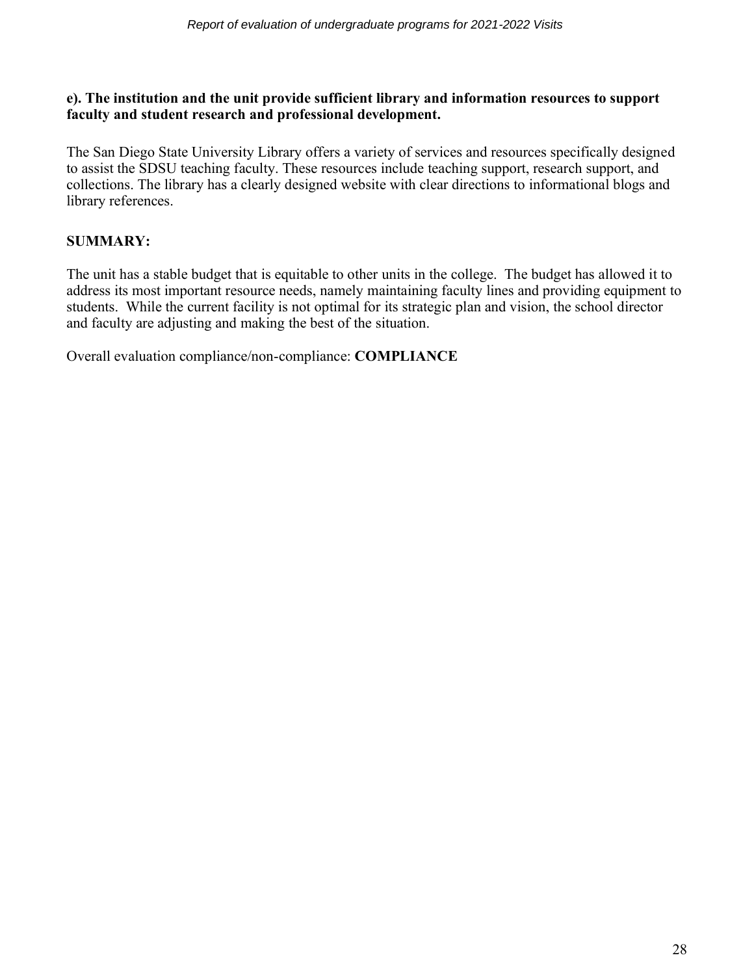#### **e). The institution and the unit provide sufficient library and information resources to support faculty and student research and professional development.**

The San Diego State University Library offers a variety of services and resources specifically designed to assist the SDSU teaching faculty. These resources include teaching support, research support, and collections. The library has a clearly designed website with clear directions to informational blogs and library references.

# **SUMMARY:**

The unit has a stable budget that is equitable to other units in the college. The budget has allowed it to address its most important resource needs, namely maintaining faculty lines and providing equipment to students. While the current facility is not optimal for its strategic plan and vision, the school director and faculty are adjusting and making the best of the situation.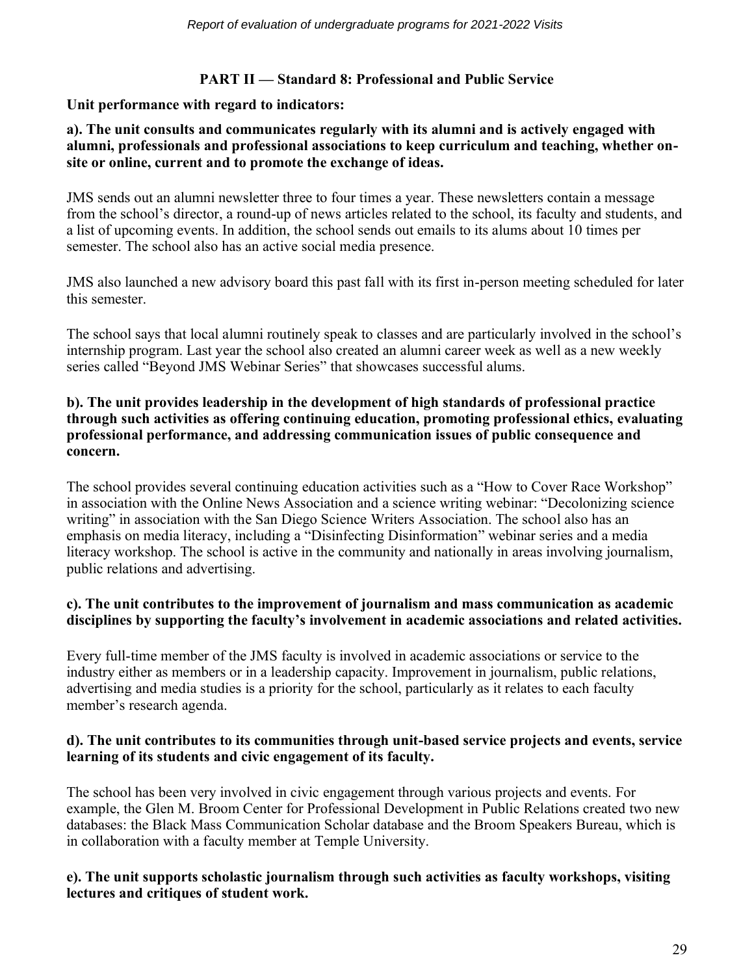# **PART II — Standard 8: Professional and Public Service**

#### **Unit performance with regard to indicators:**

#### **a). The unit consults and communicates regularly with its alumni and is actively engaged with alumni, professionals and professional associations to keep curriculum and teaching, whether onsite or online, current and to promote the exchange of ideas.**

JMS sends out an alumni newsletter three to four times a year. These newsletters contain a message from the school's director, a round-up of news articles related to the school, its faculty and students, and a list of upcoming events. In addition, the school sends out emails to its alums about 10 times per semester. The school also has an active social media presence.

JMS also launched a new advisory board this past fall with its first in-person meeting scheduled for later this semester.

The school says that local alumni routinely speak to classes and are particularly involved in the school's internship program. Last year the school also created an alumni career week as well as a new weekly series called "Beyond JMS Webinar Series" that showcases successful alums.

#### **b). The unit provides leadership in the development of high standards of professional practice through such activities as offering continuing education, promoting professional ethics, evaluating professional performance, and addressing communication issues of public consequence and concern.**

The school provides several continuing education activities such as a "How to Cover Race Workshop" in association with the Online News Association and a science writing webinar: "Decolonizing science writing" in association with the San Diego Science Writers Association. The school also has an emphasis on media literacy, including a "Disinfecting Disinformation" webinar series and a media literacy workshop. The school is active in the community and nationally in areas involving journalism, public relations and advertising.

#### **c). The unit contributes to the improvement of journalism and mass communication as academic disciplines by supporting the faculty's involvement in academic associations and related activities.**

Every full-time member of the JMS faculty is involved in academic associations or service to the industry either as members or in a leadership capacity. Improvement in journalism, public relations, advertising and media studies is a priority for the school, particularly as it relates to each faculty member's research agenda.

#### **d). The unit contributes to its communities through unit-based service projects and events, service learning of its students and civic engagement of its faculty.**

The school has been very involved in civic engagement through various projects and events. For example, the Glen M. Broom Center for Professional Development in Public Relations created two new databases: the Black Mass Communication Scholar database and the Broom Speakers Bureau, which is in collaboration with a faculty member at Temple University.

#### **e). The unit supports scholastic journalism through such activities as faculty workshops, visiting lectures and critiques of student work.**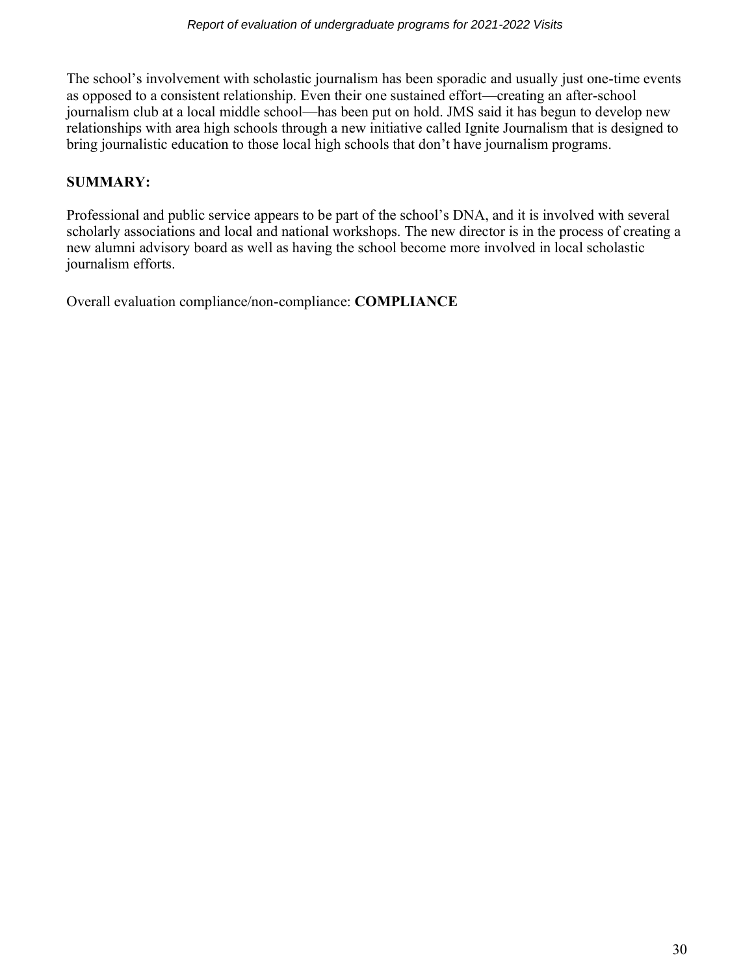The school's involvement with scholastic journalism has been sporadic and usually just one-time events as opposed to a consistent relationship. Even their one sustained effort—creating an after-school journalism club at a local middle school—has been put on hold. JMS said it has begun to develop new relationships with area high schools through a new initiative called Ignite Journalism that is designed to bring journalistic education to those local high schools that don't have journalism programs.

# **SUMMARY:**

Professional and public service appears to be part of the school's DNA, and it is involved with several scholarly associations and local and national workshops. The new director is in the process of creating a new alumni advisory board as well as having the school become more involved in local scholastic journalism efforts.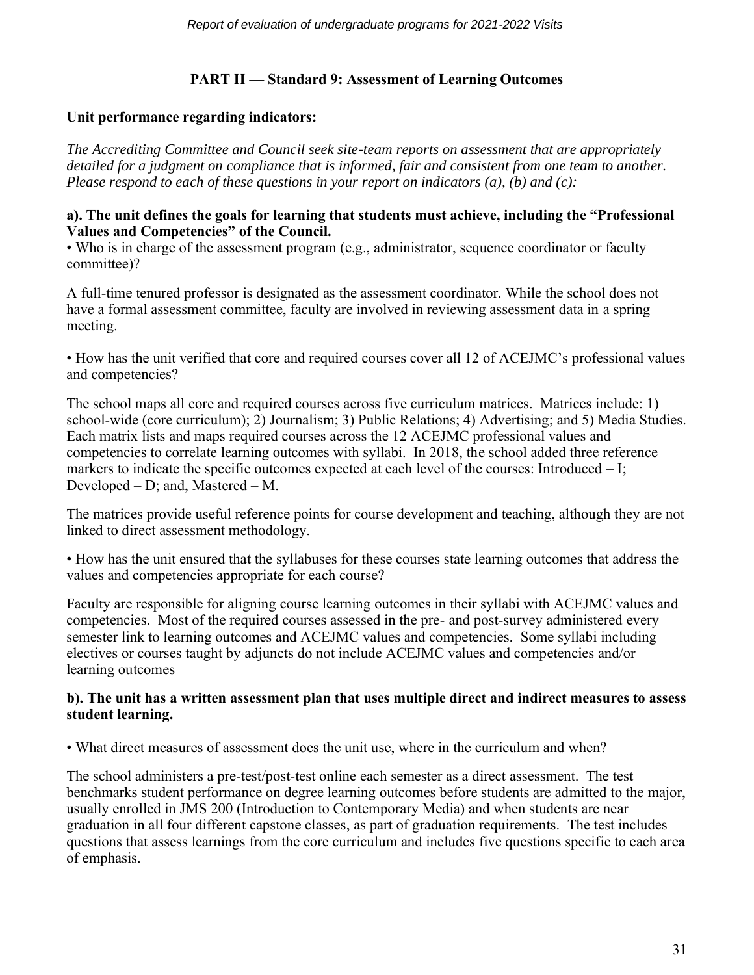# **PART II — Standard 9: Assessment of Learning Outcomes**

## **Unit performance regarding indicators:**

*The Accrediting Committee and Council seek site-team reports on assessment that are appropriately detailed for a judgment on compliance that is informed, fair and consistent from one team to another. Please respond to each of these questions in your report on indicators (a), (b) and (c):*

#### **a). The unit defines the goals for learning that students must achieve, including the "Professional Values and Competencies" of the Council.**

• Who is in charge of the assessment program (e.g., administrator, sequence coordinator or faculty committee)?

A full-time tenured professor is designated as the assessment coordinator. While the school does not have a formal assessment committee, faculty are involved in reviewing assessment data in a spring meeting.

• How has the unit verified that core and required courses cover all 12 of ACEJMC's professional values and competencies?

The school maps all core and required courses across five curriculum matrices. Matrices include: 1) school-wide (core curriculum); 2) Journalism; 3) Public Relations; 4) Advertising; and 5) Media Studies. Each matrix lists and maps required courses across the 12 ACEJMC professional values and competencies to correlate learning outcomes with syllabi. In 2018, the school added three reference markers to indicate the specific outcomes expected at each level of the courses: Introduced  $-I$ ; Developed – D; and, Mastered – M.

The matrices provide useful reference points for course development and teaching, although they are not linked to direct assessment methodology.

• How has the unit ensured that the syllabuses for these courses state learning outcomes that address the values and competencies appropriate for each course?

Faculty are responsible for aligning course learning outcomes in their syllabi with ACEJMC values and competencies. Most of the required courses assessed in the pre- and post-survey administered every semester link to learning outcomes and ACEJMC values and competencies. Some syllabi including electives or courses taught by adjuncts do not include ACEJMC values and competencies and/or learning outcomes

#### **b). The unit has a written assessment plan that uses multiple direct and indirect measures to assess student learning.**

• What direct measures of assessment does the unit use, where in the curriculum and when?

The school administers a pre-test/post-test online each semester as a direct assessment. The test benchmarks student performance on degree learning outcomes before students are admitted to the major, usually enrolled in JMS 200 (Introduction to Contemporary Media) and when students are near graduation in all four different capstone classes, as part of graduation requirements. The test includes questions that assess learnings from the core curriculum and includes five questions specific to each area of emphasis.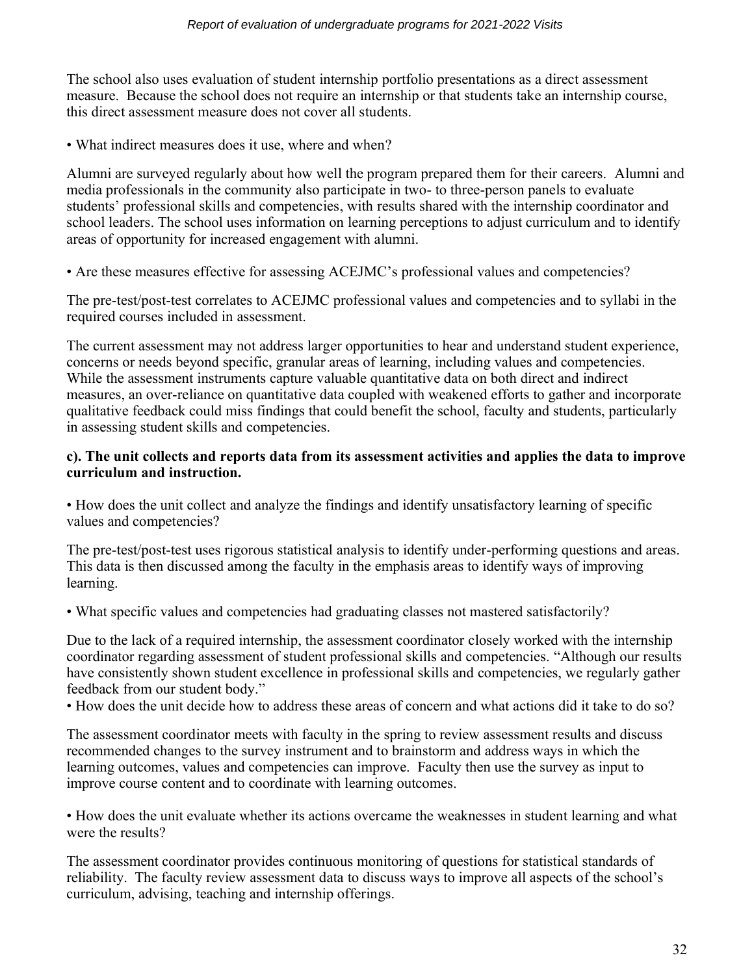The school also uses evaluation of student internship portfolio presentations as a direct assessment measure. Because the school does not require an internship or that students take an internship course, this direct assessment measure does not cover all students.

• What indirect measures does it use, where and when?

Alumni are surveyed regularly about how well the program prepared them for their careers. Alumni and media professionals in the community also participate in two- to three-person panels to evaluate students' professional skills and competencies, with results shared with the internship coordinator and school leaders. The school uses information on learning perceptions to adjust curriculum and to identify areas of opportunity for increased engagement with alumni.

• Are these measures effective for assessing ACEJMC's professional values and competencies?

The pre-test/post-test correlates to ACEJMC professional values and competencies and to syllabi in the required courses included in assessment.

The current assessment may not address larger opportunities to hear and understand student experience, concerns or needs beyond specific, granular areas of learning, including values and competencies. While the assessment instruments capture valuable quantitative data on both direct and indirect measures, an over-reliance on quantitative data coupled with weakened efforts to gather and incorporate qualitative feedback could miss findings that could benefit the school, faculty and students, particularly in assessing student skills and competencies.

#### **c). The unit collects and reports data from its assessment activities and applies the data to improve curriculum and instruction.**

• How does the unit collect and analyze the findings and identify unsatisfactory learning of specific values and competencies?

The pre-test/post-test uses rigorous statistical analysis to identify under-performing questions and areas. This data is then discussed among the faculty in the emphasis areas to identify ways of improving learning.

• What specific values and competencies had graduating classes not mastered satisfactorily?

Due to the lack of a required internship, the assessment coordinator closely worked with the internship coordinator regarding assessment of student professional skills and competencies. "Although our results have consistently shown student excellence in professional skills and competencies, we regularly gather feedback from our student body."

• How does the unit decide how to address these areas of concern and what actions did it take to do so?

The assessment coordinator meets with faculty in the spring to review assessment results and discuss recommended changes to the survey instrument and to brainstorm and address ways in which the learning outcomes, values and competencies can improve. Faculty then use the survey as input to improve course content and to coordinate with learning outcomes.

• How does the unit evaluate whether its actions overcame the weaknesses in student learning and what were the results?

The assessment coordinator provides continuous monitoring of questions for statistical standards of reliability. The faculty review assessment data to discuss ways to improve all aspects of the school's curriculum, advising, teaching and internship offerings.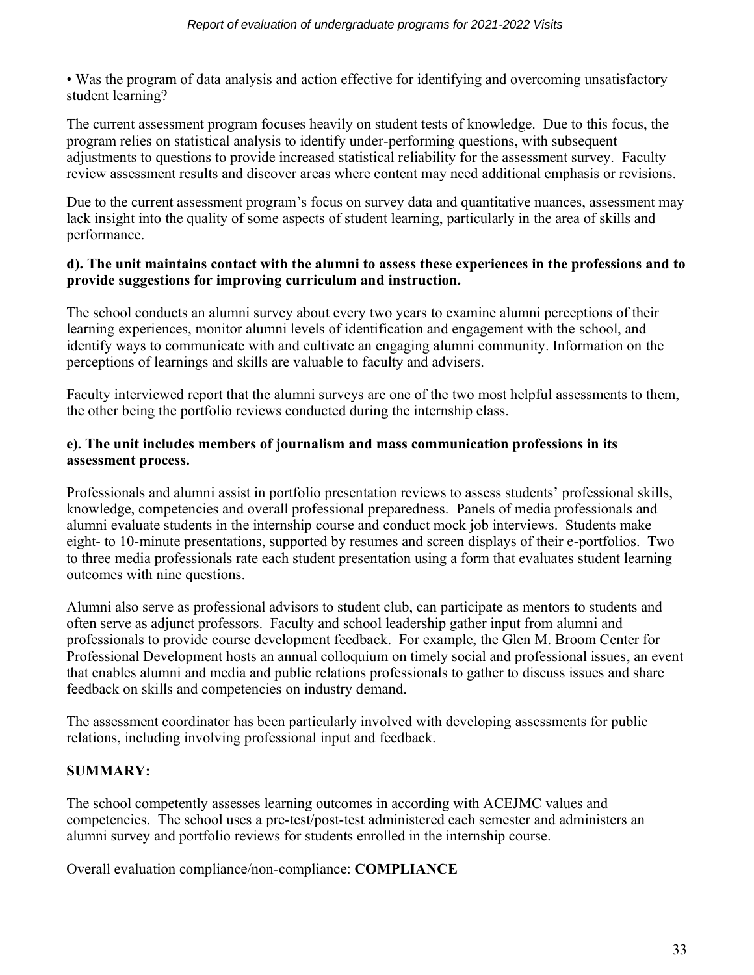• Was the program of data analysis and action effective for identifying and overcoming unsatisfactory student learning?

The current assessment program focuses heavily on student tests of knowledge. Due to this focus, the program relies on statistical analysis to identify under-performing questions, with subsequent adjustments to questions to provide increased statistical reliability for the assessment survey. Faculty review assessment results and discover areas where content may need additional emphasis or revisions.

Due to the current assessment program's focus on survey data and quantitative nuances, assessment may lack insight into the quality of some aspects of student learning, particularly in the area of skills and performance.

#### **d). The unit maintains contact with the alumni to assess these experiences in the professions and to provide suggestions for improving curriculum and instruction.**

The school conducts an alumni survey about every two years to examine alumni perceptions of their learning experiences, monitor alumni levels of identification and engagement with the school, and identify ways to communicate with and cultivate an engaging alumni community. Information on the perceptions of learnings and skills are valuable to faculty and advisers.

Faculty interviewed report that the alumni surveys are one of the two most helpful assessments to them, the other being the portfolio reviews conducted during the internship class.

# **e). The unit includes members of journalism and mass communication professions in its assessment process.**

Professionals and alumni assist in portfolio presentation reviews to assess students' professional skills, knowledge, competencies and overall professional preparedness. Panels of media professionals and alumni evaluate students in the internship course and conduct mock job interviews. Students make eight- to 10-minute presentations, supported by resumes and screen displays of their e-portfolios. Two to three media professionals rate each student presentation using a form that evaluates student learning outcomes with nine questions.

Alumni also serve as professional advisors to student club, can participate as mentors to students and often serve as adjunct professors. Faculty and school leadership gather input from alumni and professionals to provide course development feedback. For example, the Glen M. Broom Center for Professional Development hosts an annual colloquium on timely social and professional issues, an event that enables alumni and media and public relations professionals to gather to discuss issues and share feedback on skills and competencies on industry demand.

The assessment coordinator has been particularly involved with developing assessments for public relations, including involving professional input and feedback.

# **SUMMARY:**

The school competently assesses learning outcomes in according with ACEJMC values and competencies. The school uses a pre-test/post-test administered each semester and administers an alumni survey and portfolio reviews for students enrolled in the internship course.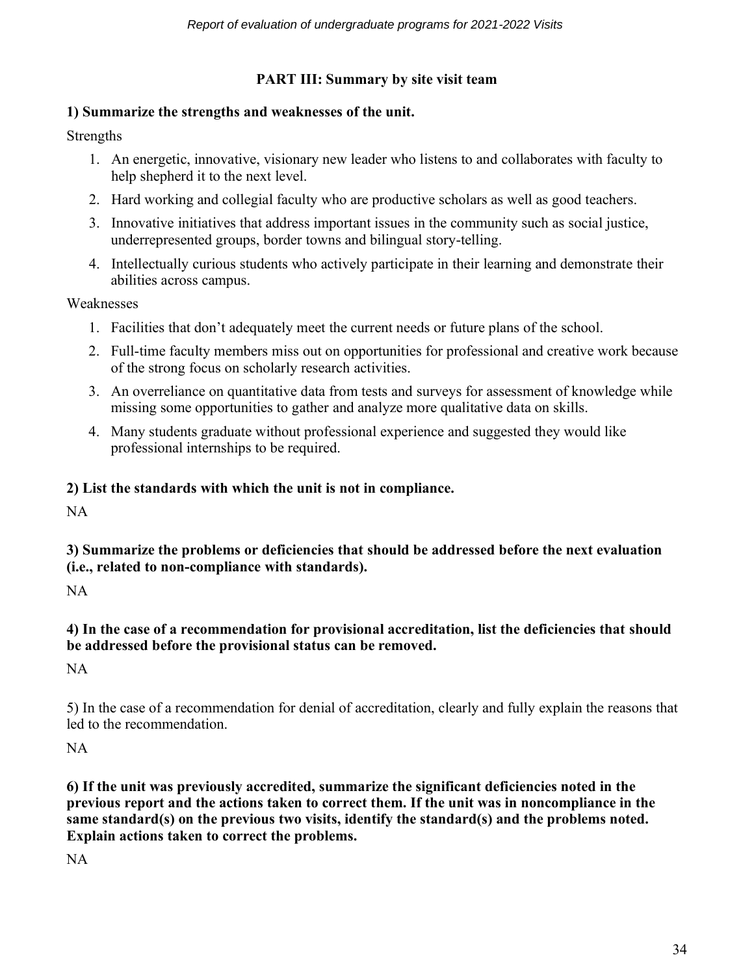# **PART III: Summary by site visit team**

# **1) Summarize the strengths and weaknesses of the unit.**

Strengths

- 1. An energetic, innovative, visionary new leader who listens to and collaborates with faculty to help shepherd it to the next level.
- 2. Hard working and collegial faculty who are productive scholars as well as good teachers.
- 3. Innovative initiatives that address important issues in the community such as social justice, underrepresented groups, border towns and bilingual story-telling.
- 4. Intellectually curious students who actively participate in their learning and demonstrate their abilities across campus.

Weaknesses

- 1. Facilities that don't adequately meet the current needs or future plans of the school.
- 2. Full-time faculty members miss out on opportunities for professional and creative work because of the strong focus on scholarly research activities.
- 3. An overreliance on quantitative data from tests and surveys for assessment of knowledge while missing some opportunities to gather and analyze more qualitative data on skills.
- 4. Many students graduate without professional experience and suggested they would like professional internships to be required.

# **2) List the standards with which the unit is not in compliance.**

NA

# **3) Summarize the problems or deficiencies that should be addressed before the next evaluation (i.e., related to non-compliance with standards).**

NA

# **4) In the case of a recommendation for provisional accreditation, list the deficiencies that should be addressed before the provisional status can be removed.**

NA

5) In the case of a recommendation for denial of accreditation, clearly and fully explain the reasons that led to the recommendation.

NA

**6) If the unit was previously accredited, summarize the significant deficiencies noted in the previous report and the actions taken to correct them. If the unit was in noncompliance in the same standard(s) on the previous two visits, identify the standard(s) and the problems noted. Explain actions taken to correct the problems.** 

NA